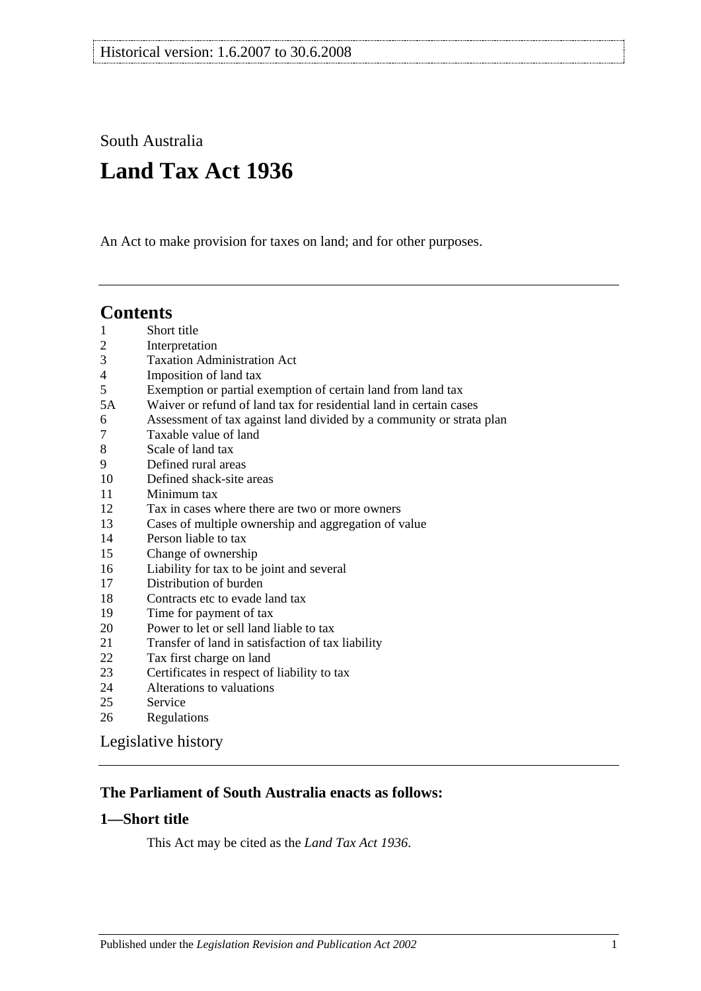South Australia

# **Land Tax Act 1936**

An Act to make provision for taxes on land; and for other purposes.

# **Contents**

| $\mathbf{1}$  | Short title                        |
|---------------|------------------------------------|
| $\mathcal{D}$ | Interpretation                     |
| 3             | <b>Taxation Administration Act</b> |
|               | Imposition of land tax             |

- [Imposition of land tax](#page-3-1)
- 5 [Exemption or partial exemption of certain land from land tax](#page-5-0)
- 5A [Waiver or refund of land tax for residential land in certain cases](#page-10-0)
- 6 [Assessment of tax against land divided by a community or strata plan](#page-12-0)
- 7 [Taxable value of land](#page-13-0)
- 8 [Scale of land tax](#page-13-1)
- 9 [Defined rural areas](#page-14-0)
- 10 [Defined shack-site areas](#page-14-1)
- 11 [Minimum tax](#page-14-2)
- 12 [Tax in cases where there are two or more owners](#page-14-3)
- 13 [Cases of multiple ownership and aggregation of value](#page-14-4)
- 14 [Person liable to tax](#page-15-0)
- 15 [Change of ownership](#page-15-1)
- 16 [Liability for tax to be joint and several](#page-16-0)
- 17 [Distribution of burden](#page-16-1)
- 18 [Contracts etc to evade land tax](#page-16-2)<br>19 Time for payment of tax
- [Time for payment of tax](#page-16-3)
- 20 [Power to let or sell land liable to tax](#page-16-4)<br>21 Transfer of land in satisfaction of tax
- [Transfer of land in satisfaction of tax liability](#page-17-0)
- 22 [Tax first charge on land](#page-17-1)
- 23 [Certificates in respect of liability to tax](#page-17-2)
- 24 [Alterations to valuations](#page-18-0)
- 25 [Service](#page-18-1)
- 26 [Regulations](#page-18-2)

[Legislative history](#page-19-0)

## **The Parliament of South Australia enacts as follows:**

#### <span id="page-0-0"></span>**1—Short title**

This Act may be cited as the *Land Tax Act 1936*.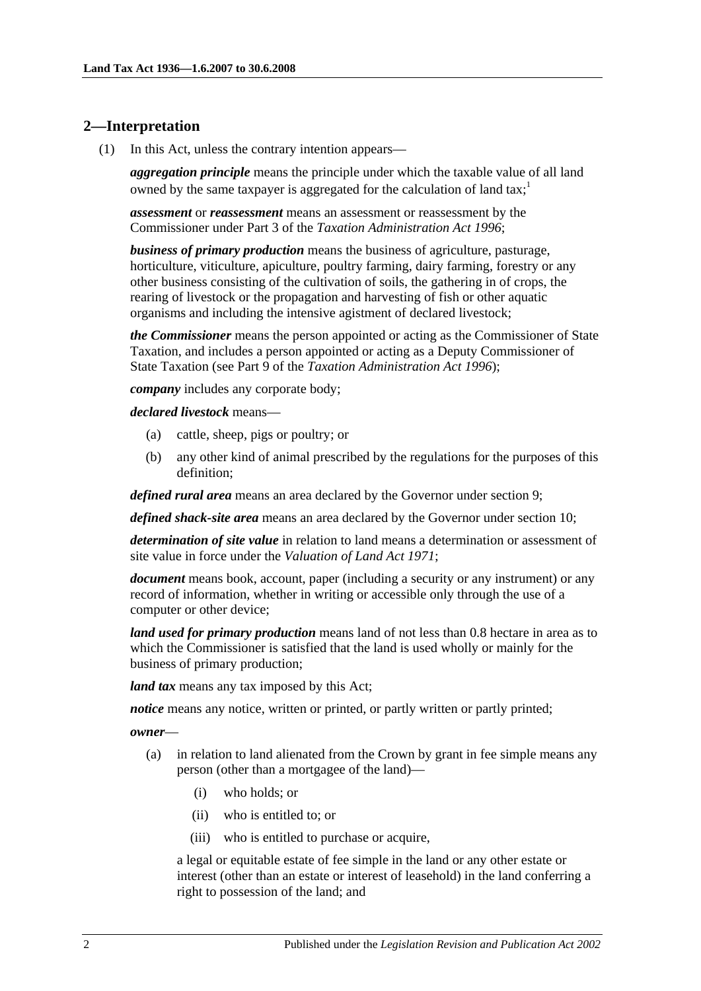#### <span id="page-1-1"></span><span id="page-1-0"></span>**2—Interpretation**

(1) In this Act, unless the contrary intention appears—

*aggregation principle* means the principle under which the taxable value of all land owned by the same taxpayer is aggregated for the calculation of land tax;<sup>1</sup>

*assessment* or *reassessment* means an assessment or reassessment by the Commissioner under Part 3 of the *[Taxation Administration Act](http://www.legislation.sa.gov.au/index.aspx?action=legref&type=act&legtitle=Taxation%20Administration%20Act%201996) 1996*;

*business of primary production* means the business of agriculture, pasturage, horticulture, viticulture, apiculture, poultry farming, dairy farming, forestry or any other business consisting of the cultivation of soils, the gathering in of crops, the rearing of livestock or the propagation and harvesting of fish or other aquatic organisms and including the intensive agistment of declared livestock;

*the Commissioner* means the person appointed or acting as the Commissioner of State Taxation, and includes a person appointed or acting as a Deputy Commissioner of State Taxation (see Part 9 of the *[Taxation Administration Act](http://www.legislation.sa.gov.au/index.aspx?action=legref&type=act&legtitle=Taxation%20Administration%20Act%201996) 1996*);

*company* includes any corporate body;

*declared livestock* means—

- (a) cattle, sheep, pigs or poultry; or
- (b) any other kind of animal prescribed by the regulations for the purposes of this definition;

*defined rural area* means an area declared by the Governor under [section](#page-14-0) 9;

*defined shack-site area* means an area declared by the Governor under [section](#page-14-1) 10;

*determination of site value* in relation to land means a determination or assessment of site value in force under the *[Valuation of Land Act](http://www.legislation.sa.gov.au/index.aspx?action=legref&type=act&legtitle=Valuation%20of%20Land%20Act%201971) 1971*;

*document* means book, account, paper (including a security or any instrument) or any record of information, whether in writing or accessible only through the use of a computer or other device;

*land used for primary production* means land of not less than 0.8 hectare in area as to which the Commissioner is satisfied that the land is used wholly or mainly for the business of primary production;

*land tax* means any tax imposed by this Act;

*notice* means any notice, written or printed, or partly written or partly printed;

*owner*—

- (a) in relation to land alienated from the Crown by grant in fee simple means any person (other than a mortgagee of the land)—
	- (i) who holds; or
	- (ii) who is entitled to; or
	- (iii) who is entitled to purchase or acquire,

a legal or equitable estate of fee simple in the land or any other estate or interest (other than an estate or interest of leasehold) in the land conferring a right to possession of the land; and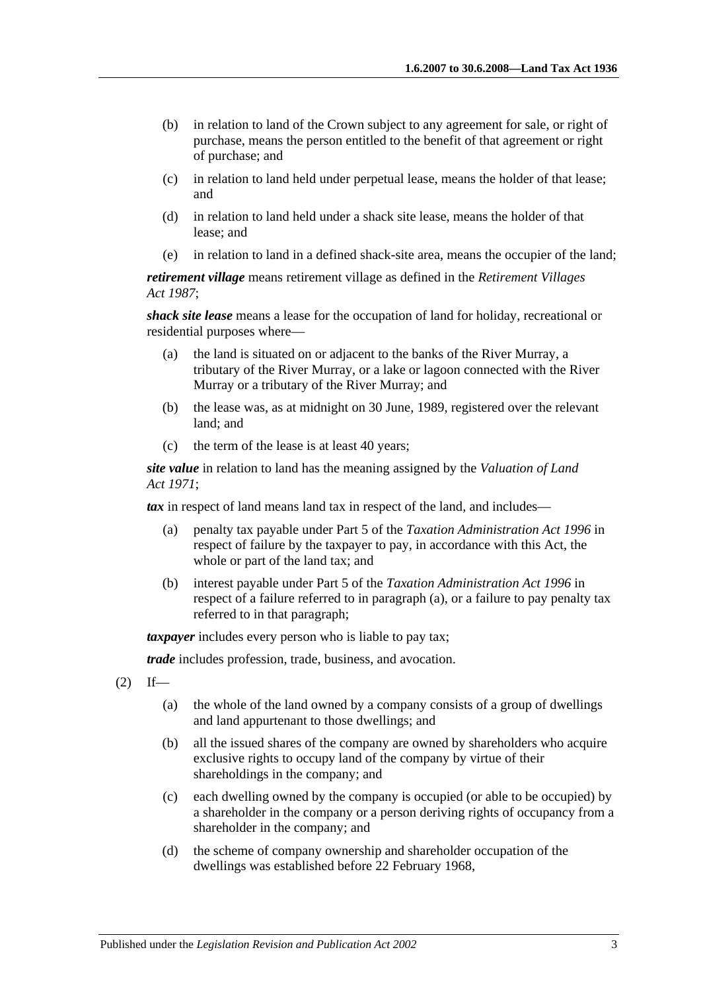- (b) in relation to land of the Crown subject to any agreement for sale, or right of purchase, means the person entitled to the benefit of that agreement or right of purchase; and
- (c) in relation to land held under perpetual lease, means the holder of that lease; and
- (d) in relation to land held under a shack site lease, means the holder of that lease; and
- (e) in relation to land in a defined shack-site area, means the occupier of the land;

*retirement village* means retirement village as defined in the *[Retirement Villages](http://www.legislation.sa.gov.au/index.aspx?action=legref&type=act&legtitle=Retirement%20Villages%20Act%201987)  Act [1987](http://www.legislation.sa.gov.au/index.aspx?action=legref&type=act&legtitle=Retirement%20Villages%20Act%201987)*;

*shack site lease* means a lease for the occupation of land for holiday, recreational or residential purposes where—

- (a) the land is situated on or adjacent to the banks of the River Murray, a tributary of the River Murray, or a lake or lagoon connected with the River Murray or a tributary of the River Murray; and
- (b) the lease was, as at midnight on 30 June, 1989, registered over the relevant land; and
- (c) the term of the lease is at least 40 years;

*site value* in relation to land has the meaning assigned by the *[Valuation of Land](http://www.legislation.sa.gov.au/index.aspx?action=legref&type=act&legtitle=Valuation%20of%20Land%20Act%201971)  Act [1971](http://www.legislation.sa.gov.au/index.aspx?action=legref&type=act&legtitle=Valuation%20of%20Land%20Act%201971)*;

*tax* in respect of land means land tax in respect of the land, and includes—

- (a) penalty tax payable under Part 5 of the *[Taxation Administration Act](http://www.legislation.sa.gov.au/index.aspx?action=legref&type=act&legtitle=Taxation%20Administration%20Act%201996) 1996* in respect of failure by the taxpayer to pay, in accordance with this Act, the whole or part of the land tax; and
- (b) interest payable under Part 5 of the *[Taxation Administration Act](http://www.legislation.sa.gov.au/index.aspx?action=legref&type=act&legtitle=Taxation%20Administration%20Act%201996) 1996* in respect of a failure referred to in paragraph (a), or a failure to pay penalty tax referred to in that paragraph;

*taxpayer* includes every person who is liable to pay tax;

*trade* includes profession, trade, business, and avocation.

- $(2)$  If—
	- (a) the whole of the land owned by a company consists of a group of dwellings and land appurtenant to those dwellings; and
	- (b) all the issued shares of the company are owned by shareholders who acquire exclusive rights to occupy land of the company by virtue of their shareholdings in the company; and
	- (c) each dwelling owned by the company is occupied (or able to be occupied) by a shareholder in the company or a person deriving rights of occupancy from a shareholder in the company; and
	- (d) the scheme of company ownership and shareholder occupation of the dwellings was established before 22 February 1968,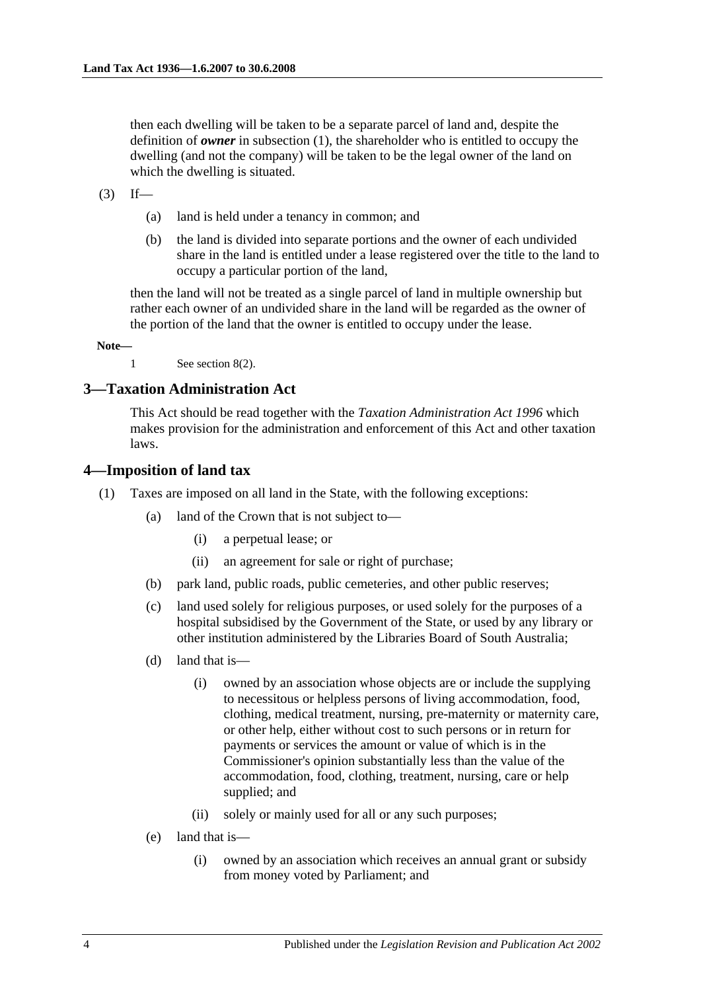then each dwelling will be taken to be a separate parcel of land and, despite the definition of *owner* in [subsection](#page-1-1) (1), the shareholder who is entitled to occupy the dwelling (and not the company) will be taken to be the legal owner of the land on which the dwelling is situated.

 $(3)$  If—

- (a) land is held under a tenancy in common; and
- (b) the land is divided into separate portions and the owner of each undivided share in the land is entitled under a lease registered over the title to the land to occupy a particular portion of the land,

then the land will not be treated as a single parcel of land in multiple ownership but rather each owner of an undivided share in the land will be regarded as the owner of the portion of the land that the owner is entitled to occupy under the lease.

**Note—**

1 See [section](#page-13-2) 8(2).

#### <span id="page-3-0"></span>**3—Taxation Administration Act**

This Act should be read together with the *[Taxation Administration Act](http://www.legislation.sa.gov.au/index.aspx?action=legref&type=act&legtitle=Taxation%20Administration%20Act%201996) 1996* which makes provision for the administration and enforcement of this Act and other taxation laws.

#### <span id="page-3-1"></span>**4—Imposition of land tax**

- <span id="page-3-2"></span>(1) Taxes are imposed on all land in the State, with the following exceptions:
	- (a) land of the Crown that is not subject to—
		- (i) a perpetual lease; or
		- (ii) an agreement for sale or right of purchase;
	- (b) park land, public roads, public cemeteries, and other public reserves;
	- (c) land used solely for religious purposes, or used solely for the purposes of a hospital subsidised by the Government of the State, or used by any library or other institution administered by the Libraries Board of South Australia;
	- (d) land that is—
		- (i) owned by an association whose objects are or include the supplying to necessitous or helpless persons of living accommodation, food, clothing, medical treatment, nursing, pre-maternity or maternity care, or other help, either without cost to such persons or in return for payments or services the amount or value of which is in the Commissioner's opinion substantially less than the value of the accommodation, food, clothing, treatment, nursing, care or help supplied; and
		- (ii) solely or mainly used for all or any such purposes;
	- (e) land that is—
		- (i) owned by an association which receives an annual grant or subsidy from money voted by Parliament; and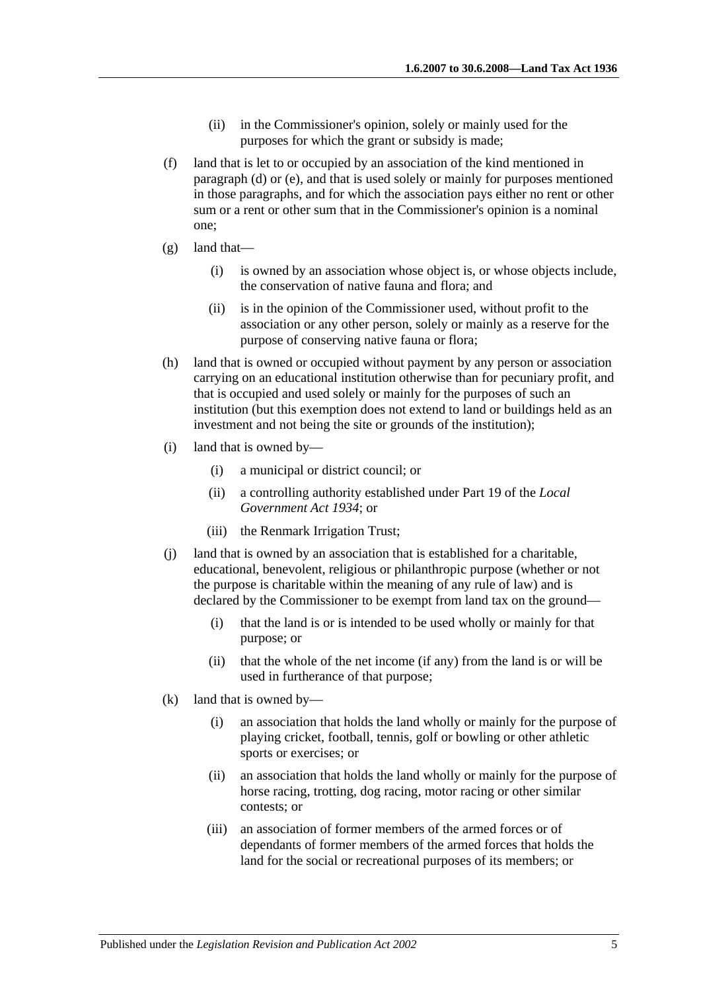- (ii) in the Commissioner's opinion, solely or mainly used for the purposes for which the grant or subsidy is made;
- (f) land that is let to or occupied by an association of the kind mentioned in [paragraph](#page-3-2) (d) or (e), and that is used solely or mainly for purposes mentioned in those paragraphs, and for which the association pays either no rent or other sum or a rent or other sum that in the Commissioner's opinion is a nominal one;
- (g) land that—
	- (i) is owned by an association whose object is, or whose objects include, the conservation of native fauna and flora; and
	- (ii) is in the opinion of the Commissioner used, without profit to the association or any other person, solely or mainly as a reserve for the purpose of conserving native fauna or flora;
- (h) land that is owned or occupied without payment by any person or association carrying on an educational institution otherwise than for pecuniary profit, and that is occupied and used solely or mainly for the purposes of such an institution (but this exemption does not extend to land or buildings held as an investment and not being the site or grounds of the institution);
- (i) land that is owned by—
	- (i) a municipal or district council; or
	- (ii) a controlling authority established under Part 19 of the *[Local](http://www.legislation.sa.gov.au/index.aspx?action=legref&type=act&legtitle=Local%20Government%20Act%201934)  [Government Act](http://www.legislation.sa.gov.au/index.aspx?action=legref&type=act&legtitle=Local%20Government%20Act%201934) 1934*; or
	- (iii) the Renmark Irrigation Trust;
- (j) land that is owned by an association that is established for a charitable, educational, benevolent, religious or philanthropic purpose (whether or not the purpose is charitable within the meaning of any rule of law) and is declared by the Commissioner to be exempt from land tax on the ground—
	- (i) that the land is or is intended to be used wholly or mainly for that purpose; or
	- (ii) that the whole of the net income (if any) from the land is or will be used in furtherance of that purpose;
- (k) land that is owned by—
	- (i) an association that holds the land wholly or mainly for the purpose of playing cricket, football, tennis, golf or bowling or other athletic sports or exercises; or
	- (ii) an association that holds the land wholly or mainly for the purpose of horse racing, trotting, dog racing, motor racing or other similar contests; or
	- (iii) an association of former members of the armed forces or of dependants of former members of the armed forces that holds the land for the social or recreational purposes of its members; or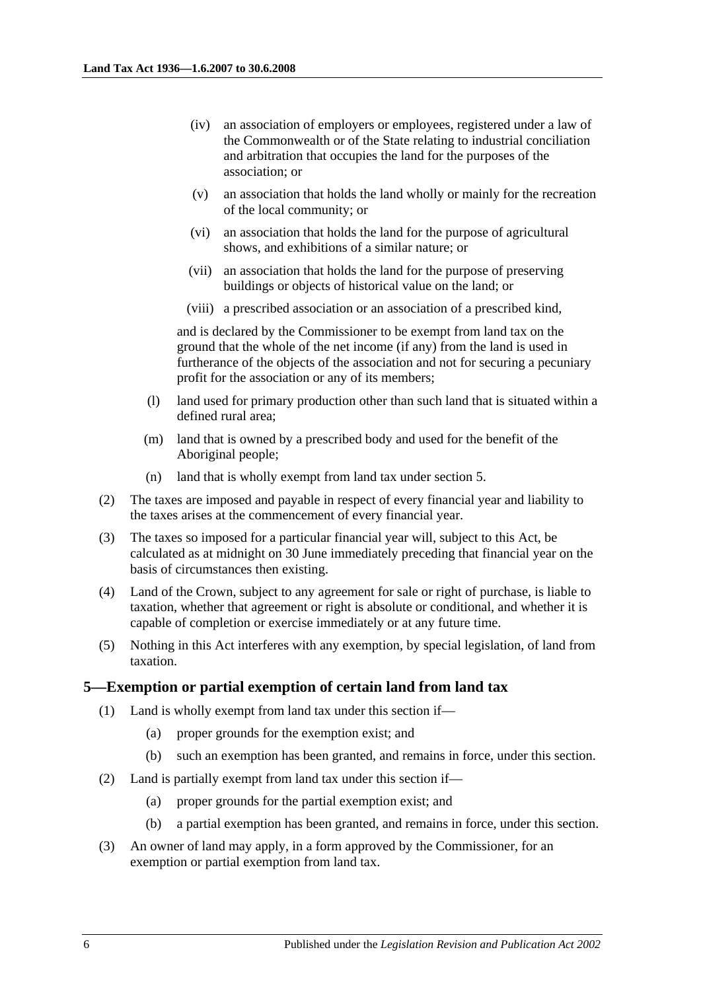- (iv) an association of employers or employees, registered under a law of the Commonwealth or of the State relating to industrial conciliation and arbitration that occupies the land for the purposes of the association; or
- (v) an association that holds the land wholly or mainly for the recreation of the local community; or
- (vi) an association that holds the land for the purpose of agricultural shows, and exhibitions of a similar nature; or
- (vii) an association that holds the land for the purpose of preserving buildings or objects of historical value on the land; or
- (viii) a prescribed association or an association of a prescribed kind,

and is declared by the Commissioner to be exempt from land tax on the ground that the whole of the net income (if any) from the land is used in furtherance of the objects of the association and not for securing a pecuniary profit for the association or any of its members;

- (l) land used for primary production other than such land that is situated within a defined rural area;
- (m) land that is owned by a prescribed body and used for the benefit of the Aboriginal people;
- (n) land that is wholly exempt from land tax under section 5.
- (2) The taxes are imposed and payable in respect of every financial year and liability to the taxes arises at the commencement of every financial year.
- (3) The taxes so imposed for a particular financial year will, subject to this Act, be calculated as at midnight on 30 June immediately preceding that financial year on the basis of circumstances then existing.
- (4) Land of the Crown, subject to any agreement for sale or right of purchase, is liable to taxation, whether that agreement or right is absolute or conditional, and whether it is capable of completion or exercise immediately or at any future time.
- (5) Nothing in this Act interferes with any exemption, by special legislation, of land from taxation.

#### <span id="page-5-0"></span>**5—Exemption or partial exemption of certain land from land tax**

- (1) Land is wholly exempt from land tax under this section if—
	- (a) proper grounds for the exemption exist; and
	- (b) such an exemption has been granted, and remains in force, under this section.
- (2) Land is partially exempt from land tax under this section if—
	- (a) proper grounds for the partial exemption exist; and
	- (b) a partial exemption has been granted, and remains in force, under this section.
- <span id="page-5-1"></span>(3) An owner of land may apply, in a form approved by the Commissioner, for an exemption or partial exemption from land tax.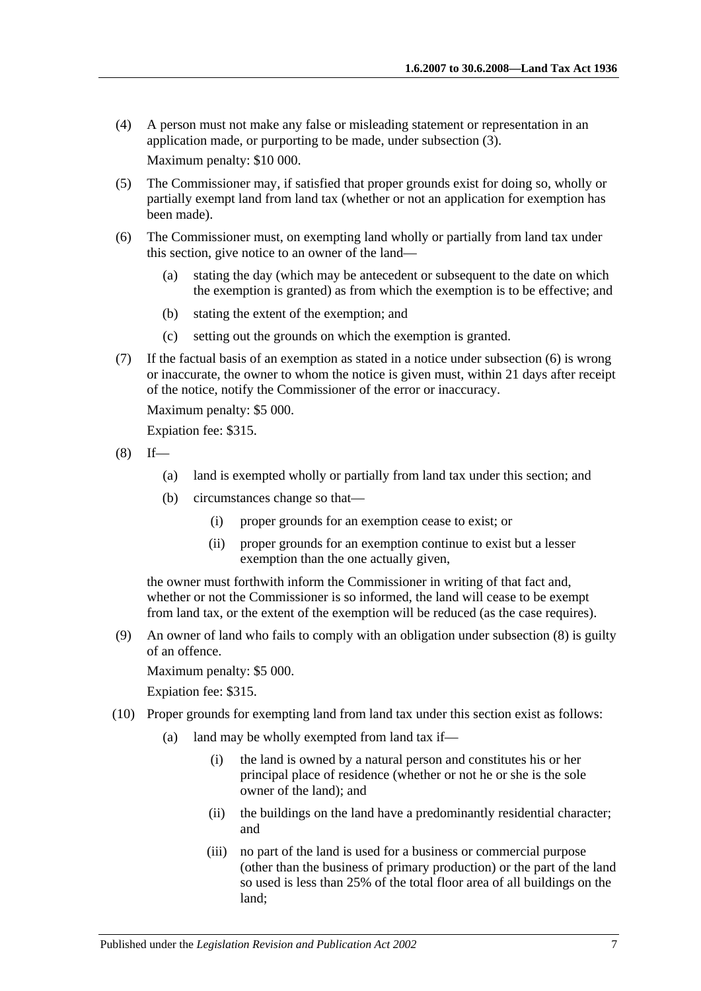- (4) A person must not make any false or misleading statement or representation in an application made, or purporting to be made, under [subsection](#page-5-1) (3). Maximum penalty: \$10 000.
- (5) The Commissioner may, if satisfied that proper grounds exist for doing so, wholly or partially exempt land from land tax (whether or not an application for exemption has been made).
- <span id="page-6-0"></span>(6) The Commissioner must, on exempting land wholly or partially from land tax under this section, give notice to an owner of the land—
	- (a) stating the day (which may be antecedent or subsequent to the date on which the exemption is granted) as from which the exemption is to be effective; and
	- (b) stating the extent of the exemption; and
	- (c) setting out the grounds on which the exemption is granted.
- (7) If the factual basis of an exemption as stated in a notice under [subsection](#page-6-0) (6) is wrong or inaccurate, the owner to whom the notice is given must, within 21 days after receipt of the notice, notify the Commissioner of the error or inaccuracy.

Maximum penalty: \$5 000.

Expiation fee: \$315.

- <span id="page-6-1"></span> $(8)$  If—
	- (a) land is exempted wholly or partially from land tax under this section; and
	- (b) circumstances change so that—
		- (i) proper grounds for an exemption cease to exist; or
		- (ii) proper grounds for an exemption continue to exist but a lesser exemption than the one actually given,

the owner must forthwith inform the Commissioner in writing of that fact and, whether or not the Commissioner is so informed, the land will cease to be exempt from land tax, or the extent of the exemption will be reduced (as the case requires).

(9) An owner of land who fails to comply with an obligation under [subsection](#page-6-1) (8) is guilty of an offence.

Maximum penalty: \$5 000.

Expiation fee: \$315.

- <span id="page-6-2"></span>(10) Proper grounds for exempting land from land tax under this section exist as follows:
	- (a) land may be wholly exempted from land tax if—
		- (i) the land is owned by a natural person and constitutes his or her principal place of residence (whether or not he or she is the sole owner of the land); and
		- (ii) the buildings on the land have a predominantly residential character; and
		- (iii) no part of the land is used for a business or commercial purpose (other than the business of primary production) or the part of the land so used is less than 25% of the total floor area of all buildings on the land;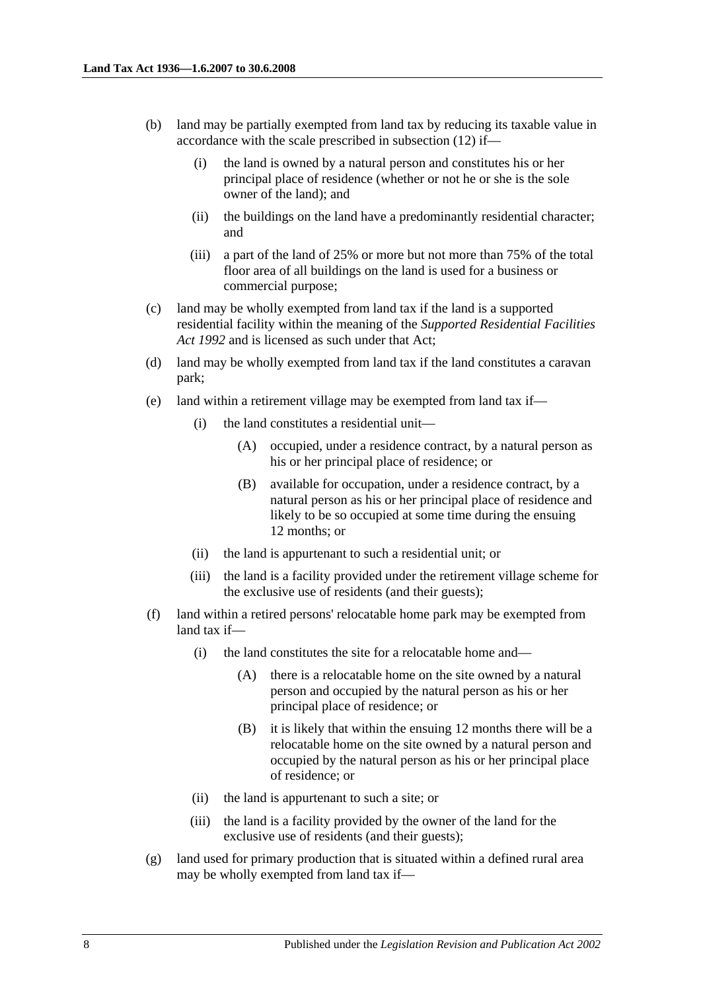- <span id="page-7-0"></span>(b) land may be partially exempted from land tax by reducing its taxable value in accordance with the scale prescribed in [subsection](#page-9-0) (12) if—
	- (i) the land is owned by a natural person and constitutes his or her principal place of residence (whether or not he or she is the sole owner of the land); and
	- (ii) the buildings on the land have a predominantly residential character; and
	- (iii) a part of the land of 25% or more but not more than 75% of the total floor area of all buildings on the land is used for a business or commercial purpose;
- (c) land may be wholly exempted from land tax if the land is a supported residential facility within the meaning of the *[Supported Residential Facilities](http://www.legislation.sa.gov.au/index.aspx?action=legref&type=act&legtitle=Supported%20Residential%20Facilities%20Act%201992)  Act [1992](http://www.legislation.sa.gov.au/index.aspx?action=legref&type=act&legtitle=Supported%20Residential%20Facilities%20Act%201992)* and is licensed as such under that Act;
- (d) land may be wholly exempted from land tax if the land constitutes a caravan park;
- (e) land within a retirement village may be exempted from land tax if—
	- (i) the land constitutes a residential unit—
		- (A) occupied, under a residence contract, by a natural person as his or her principal place of residence; or
		- (B) available for occupation, under a residence contract, by a natural person as his or her principal place of residence and likely to be so occupied at some time during the ensuing 12 months; or
	- (ii) the land is appurtenant to such a residential unit; or
	- (iii) the land is a facility provided under the retirement village scheme for the exclusive use of residents (and their guests);
- (f) land within a retired persons' relocatable home park may be exempted from land tax if—
	- (i) the land constitutes the site for a relocatable home and—
		- (A) there is a relocatable home on the site owned by a natural person and occupied by the natural person as his or her principal place of residence; or
		- (B) it is likely that within the ensuing 12 months there will be a relocatable home on the site owned by a natural person and occupied by the natural person as his or her principal place of residence; or
	- (ii) the land is appurtenant to such a site; or
	- (iii) the land is a facility provided by the owner of the land for the exclusive use of residents (and their guests);
- (g) land used for primary production that is situated within a defined rural area may be wholly exempted from land tax if—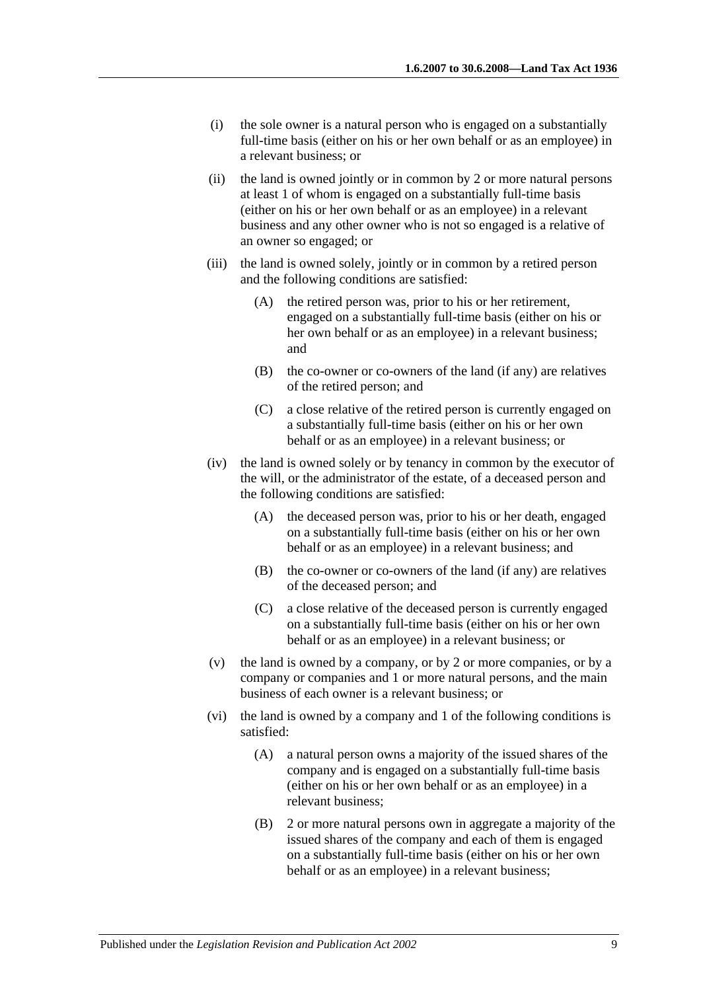- (i) the sole owner is a natural person who is engaged on a substantially full-time basis (either on his or her own behalf or as an employee) in a relevant business; or
- (ii) the land is owned jointly or in common by 2 or more natural persons at least 1 of whom is engaged on a substantially full-time basis (either on his or her own behalf or as an employee) in a relevant business and any other owner who is not so engaged is a relative of an owner so engaged; or
- (iii) the land is owned solely, jointly or in common by a retired person and the following conditions are satisfied:
	- (A) the retired person was, prior to his or her retirement, engaged on a substantially full-time basis (either on his or her own behalf or as an employee) in a relevant business; and
	- (B) the co-owner or co-owners of the land (if any) are relatives of the retired person; and
	- (C) a close relative of the retired person is currently engaged on a substantially full-time basis (either on his or her own behalf or as an employee) in a relevant business; or
- (iv) the land is owned solely or by tenancy in common by the executor of the will, or the administrator of the estate, of a deceased person and the following conditions are satisfied:
	- (A) the deceased person was, prior to his or her death, engaged on a substantially full-time basis (either on his or her own behalf or as an employee) in a relevant business; and
	- (B) the co-owner or co-owners of the land (if any) are relatives of the deceased person; and
	- (C) a close relative of the deceased person is currently engaged on a substantially full-time basis (either on his or her own behalf or as an employee) in a relevant business; or
- (v) the land is owned by a company, or by 2 or more companies, or by a company or companies and 1 or more natural persons, and the main business of each owner is a relevant business; or
- (vi) the land is owned by a company and 1 of the following conditions is satisfied:
	- (A) a natural person owns a majority of the issued shares of the company and is engaged on a substantially full-time basis (either on his or her own behalf or as an employee) in a relevant business;
	- (B) 2 or more natural persons own in aggregate a majority of the issued shares of the company and each of them is engaged on a substantially full-time basis (either on his or her own behalf or as an employee) in a relevant business;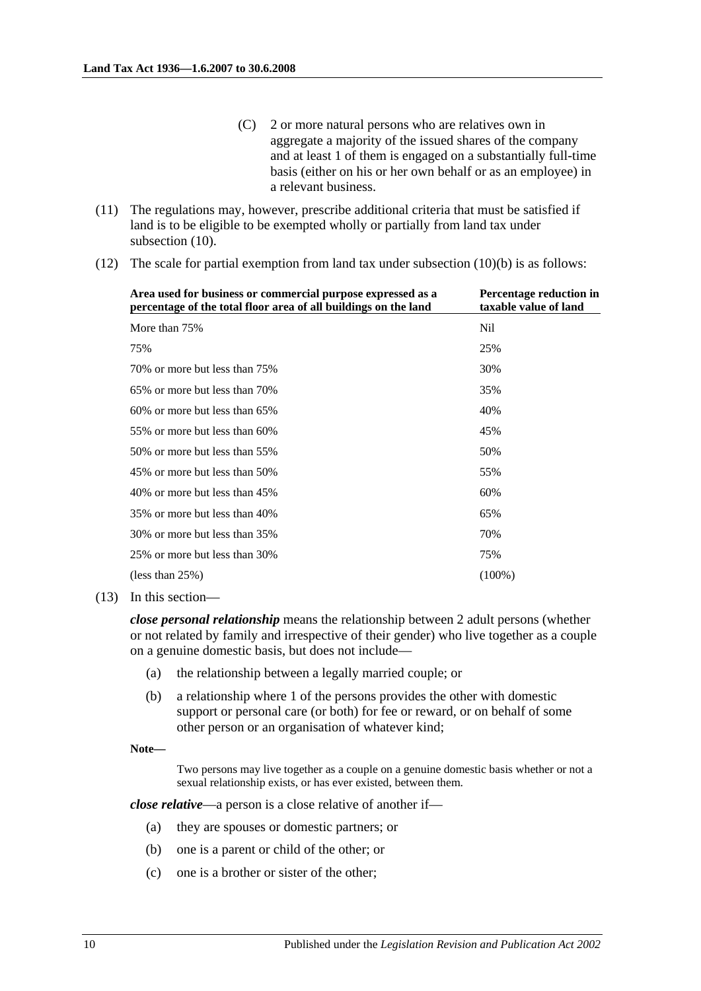- (C) 2 or more natural persons who are relatives own in aggregate a majority of the issued shares of the company and at least 1 of them is engaged on a substantially full-time basis (either on his or her own behalf or as an employee) in a relevant business.
- (11) The regulations may, however, prescribe additional criteria that must be satisfied if land is to be eligible to be exempted wholly or partially from land tax under [subsection](#page-6-2)  $(10)$ .
- <span id="page-9-0"></span>(12) The scale for partial exemption from land tax under [subsection](#page-7-0) (10)(b) is as follows:

| Area used for business or commercial purpose expressed as a<br>percentage of the total floor area of all buildings on the land | Percentage reduction in<br>taxable value of land |
|--------------------------------------------------------------------------------------------------------------------------------|--------------------------------------------------|
| More than 75%                                                                                                                  | Nil                                              |
| 75%                                                                                                                            | 25%                                              |
| 70\% or more but less than 75\%                                                                                                | 30%                                              |
| 65% or more but less than 70%                                                                                                  | 35%                                              |
| 60% or more but less than 65%                                                                                                  | 40%                                              |
| 55% or more but less than 60%                                                                                                  | 45%                                              |
| 50% or more but less than 55%                                                                                                  | 50%                                              |
| 45% or more but less than 50%                                                                                                  | 55%                                              |
| 40% or more but less than 45%                                                                                                  | 60%                                              |
| 35% or more but less than 40%                                                                                                  | 65%                                              |
| 30% or more but less than 35%                                                                                                  | 70%                                              |
| 25% or more but less than 30%                                                                                                  | 75%                                              |
| (less than $25\%$ )                                                                                                            | $(100\%)$                                        |

(13) In this section—

*close personal relationship* means the relationship between 2 adult persons (whether or not related by family and irrespective of their gender) who live together as a couple on a genuine domestic basis, but does not include—

- (a) the relationship between a legally married couple; or
- (b) a relationship where 1 of the persons provides the other with domestic support or personal care (or both) for fee or reward, or on behalf of some other person or an organisation of whatever kind;

**Note—**

Two persons may live together as a couple on a genuine domestic basis whether or not a sexual relationship exists, or has ever existed, between them.

*close relative*—a person is a close relative of another if—

- (a) they are spouses or domestic partners; or
- (b) one is a parent or child of the other; or
- (c) one is a brother or sister of the other;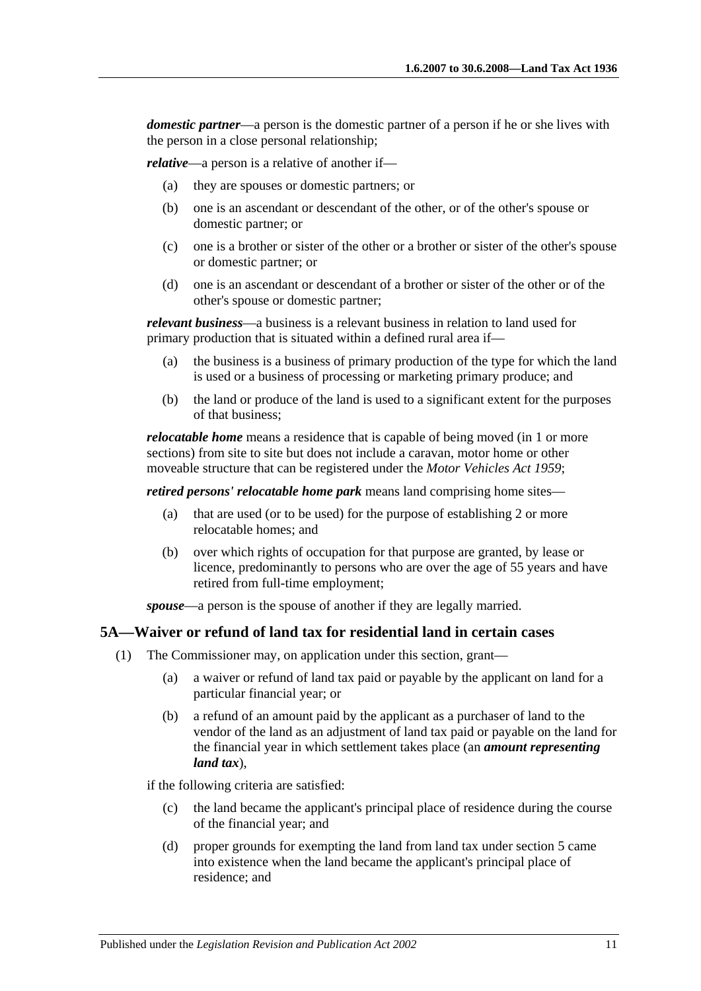*domestic partner*—a person is the domestic partner of a person if he or she lives with the person in a close personal relationship;

*relative*—a person is a relative of another if—

- (a) they are spouses or domestic partners; or
- (b) one is an ascendant or descendant of the other, or of the other's spouse or domestic partner; or
- (c) one is a brother or sister of the other or a brother or sister of the other's spouse or domestic partner; or
- (d) one is an ascendant or descendant of a brother or sister of the other or of the other's spouse or domestic partner;

*relevant business*—a business is a relevant business in relation to land used for primary production that is situated within a defined rural area if—

- (a) the business is a business of primary production of the type for which the land is used or a business of processing or marketing primary produce; and
- (b) the land or produce of the land is used to a significant extent for the purposes of that business;

*relocatable home* means a residence that is capable of being moved (in 1 or more sections) from site to site but does not include a caravan, motor home or other moveable structure that can be registered under the *[Motor Vehicles Act](http://www.legislation.sa.gov.au/index.aspx?action=legref&type=act&legtitle=Motor%20Vehicles%20Act%201959) 1959*;

*retired persons' relocatable home park* means land comprising home sites—

- (a) that are used (or to be used) for the purpose of establishing 2 or more relocatable homes; and
- (b) over which rights of occupation for that purpose are granted, by lease or licence, predominantly to persons who are over the age of 55 years and have retired from full-time employment;

*spouse*—a person is the spouse of another if they are legally married.

#### <span id="page-10-1"></span><span id="page-10-0"></span>**5A—Waiver or refund of land tax for residential land in certain cases**

- (1) The Commissioner may, on application under this section, grant—
	- (a) a waiver or refund of land tax paid or payable by the applicant on land for a particular financial year; or
	- (b) a refund of an amount paid by the applicant as a purchaser of land to the vendor of the land as an adjustment of land tax paid or payable on the land for the financial year in which settlement takes place (an *amount representing land tax*),

if the following criteria are satisfied:

- (c) the land became the applicant's principal place of residence during the course of the financial year; and
- (d) proper grounds for exempting the land from land tax under section 5 came into existence when the land became the applicant's principal place of residence; and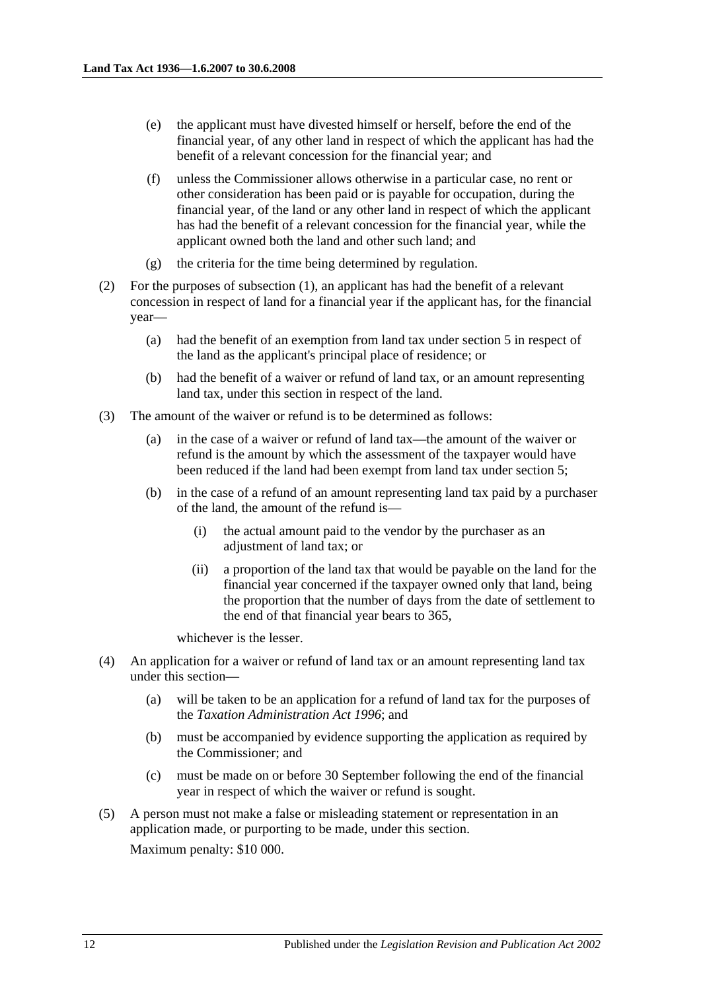- (e) the applicant must have divested himself or herself, before the end of the financial year, of any other land in respect of which the applicant has had the benefit of a relevant concession for the financial year; and
- (f) unless the Commissioner allows otherwise in a particular case, no rent or other consideration has been paid or is payable for occupation, during the financial year, of the land or any other land in respect of which the applicant has had the benefit of a relevant concession for the financial year, while the applicant owned both the land and other such land; and
- (g) the criteria for the time being determined by regulation.
- (2) For the purposes of [subsection](#page-10-1) (1), an applicant has had the benefit of a relevant concession in respect of land for a financial year if the applicant has, for the financial year—
	- (a) had the benefit of an exemption from land tax under section 5 in respect of the land as the applicant's principal place of residence; or
	- (b) had the benefit of a waiver or refund of land tax, or an amount representing land tax, under this section in respect of the land.
- (3) The amount of the waiver or refund is to be determined as follows:
	- (a) in the case of a waiver or refund of land tax—the amount of the waiver or refund is the amount by which the assessment of the taxpayer would have been reduced if the land had been exempt from land tax under section 5;
	- (b) in the case of a refund of an amount representing land tax paid by a purchaser of the land, the amount of the refund is—
		- (i) the actual amount paid to the vendor by the purchaser as an adjustment of land tax; or
		- (ii) a proportion of the land tax that would be payable on the land for the financial year concerned if the taxpayer owned only that land, being the proportion that the number of days from the date of settlement to the end of that financial year bears to 365,

whichever is the lesser.

- (4) An application for a waiver or refund of land tax or an amount representing land tax under this section—
	- (a) will be taken to be an application for a refund of land tax for the purposes of the *[Taxation Administration Act](http://www.legislation.sa.gov.au/index.aspx?action=legref&type=act&legtitle=Taxation%20Administration%20Act%201996) 1996*; and
	- (b) must be accompanied by evidence supporting the application as required by the Commissioner; and
	- (c) must be made on or before 30 September following the end of the financial year in respect of which the waiver or refund is sought.
- (5) A person must not make a false or misleading statement or representation in an application made, or purporting to be made, under this section. Maximum penalty: \$10 000.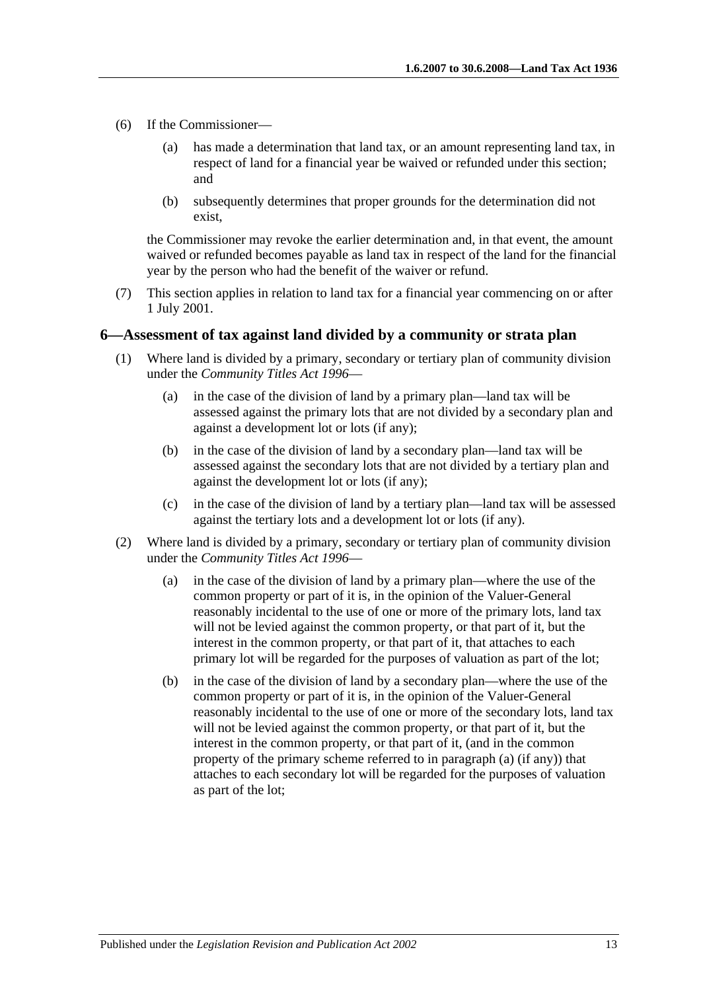- (6) If the Commissioner—
	- (a) has made a determination that land tax, or an amount representing land tax, in respect of land for a financial year be waived or refunded under this section; and
	- (b) subsequently determines that proper grounds for the determination did not exist,

the Commissioner may revoke the earlier determination and, in that event, the amount waived or refunded becomes payable as land tax in respect of the land for the financial year by the person who had the benefit of the waiver or refund.

(7) This section applies in relation to land tax for a financial year commencing on or after 1 July 2001.

#### <span id="page-12-0"></span>**6—Assessment of tax against land divided by a community or strata plan**

- (1) Where land is divided by a primary, secondary or tertiary plan of community division under the *[Community Titles Act](http://www.legislation.sa.gov.au/index.aspx?action=legref&type=act&legtitle=Community%20Titles%20Act%201996) 1996*—
	- (a) in the case of the division of land by a primary plan—land tax will be assessed against the primary lots that are not divided by a secondary plan and against a development lot or lots (if any);
	- (b) in the case of the division of land by a secondary plan—land tax will be assessed against the secondary lots that are not divided by a tertiary plan and against the development lot or lots (if any);
	- (c) in the case of the division of land by a tertiary plan—land tax will be assessed against the tertiary lots and a development lot or lots (if any).
- <span id="page-12-2"></span><span id="page-12-1"></span>(2) Where land is divided by a primary, secondary or tertiary plan of community division under the *[Community Titles Act](http://www.legislation.sa.gov.au/index.aspx?action=legref&type=act&legtitle=Community%20Titles%20Act%201996) 1996*—
	- (a) in the case of the division of land by a primary plan—where the use of the common property or part of it is, in the opinion of the Valuer-General reasonably incidental to the use of one or more of the primary lots, land tax will not be levied against the common property, or that part of it, but the interest in the common property, or that part of it, that attaches to each primary lot will be regarded for the purposes of valuation as part of the lot;
	- (b) in the case of the division of land by a secondary plan—where the use of the common property or part of it is, in the opinion of the Valuer-General reasonably incidental to the use of one or more of the secondary lots, land tax will not be levied against the common property, or that part of it, but the interest in the common property, or that part of it, (and in the common property of the primary scheme referred to in [paragraph](#page-12-1) (a) (if any)) that attaches to each secondary lot will be regarded for the purposes of valuation as part of the lot;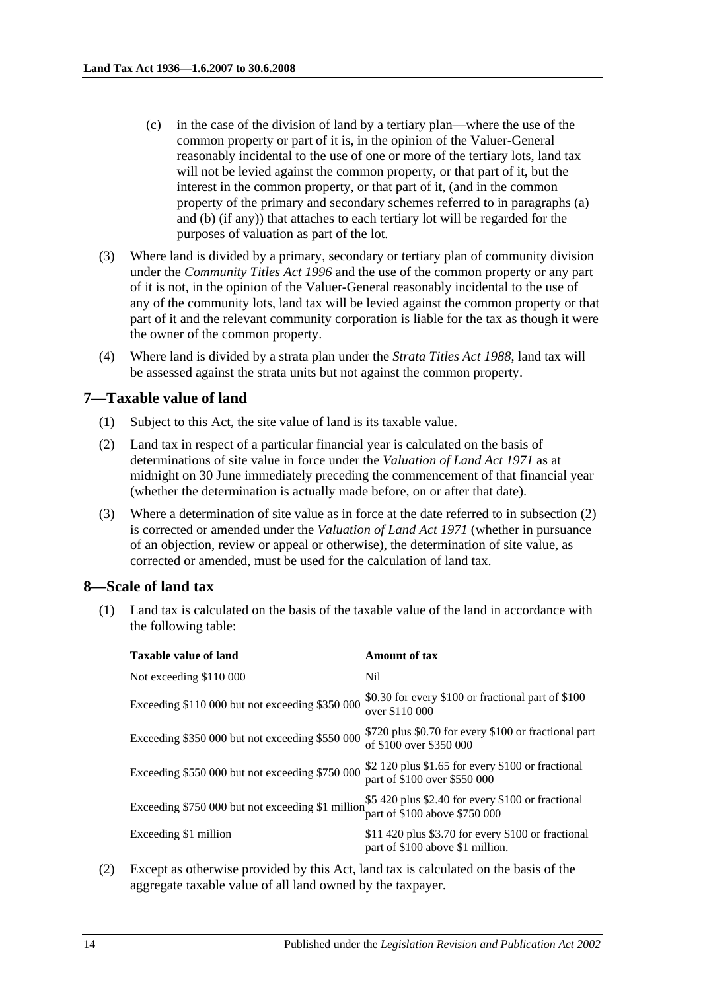- (c) in the case of the division of land by a tertiary plan—where the use of the common property or part of it is, in the opinion of the Valuer-General reasonably incidental to the use of one or more of the tertiary lots, land tax will not be levied against the common property, or that part of it, but the interest in the common property, or that part of it, (and in the common property of the primary and secondary schemes referred to in [paragraphs](#page-12-1) (a) and [\(b\)](#page-12-2) (if any)) that attaches to each tertiary lot will be regarded for the purposes of valuation as part of the lot.
- (3) Where land is divided by a primary, secondary or tertiary plan of community division under the *[Community Titles Act](http://www.legislation.sa.gov.au/index.aspx?action=legref&type=act&legtitle=Community%20Titles%20Act%201996) 1996* and the use of the common property or any part of it is not, in the opinion of the Valuer-General reasonably incidental to the use of any of the community lots, land tax will be levied against the common property or that part of it and the relevant community corporation is liable for the tax as though it were the owner of the common property.
- (4) Where land is divided by a strata plan under the *[Strata Titles Act](http://www.legislation.sa.gov.au/index.aspx?action=legref&type=act&legtitle=Strata%20Titles%20Act%201988) 1988*, land tax will be assessed against the strata units but not against the common property.

#### <span id="page-13-0"></span>**7—Taxable value of land**

- (1) Subject to this Act, the site value of land is its taxable value.
- <span id="page-13-3"></span>(2) Land tax in respect of a particular financial year is calculated on the basis of determinations of site value in force under the *[Valuation of Land Act](http://www.legislation.sa.gov.au/index.aspx?action=legref&type=act&legtitle=Valuation%20of%20Land%20Act%201971) 1971* as at midnight on 30 June immediately preceding the commencement of that financial year (whether the determination is actually made before, on or after that date).
- (3) Where a determination of site value as in force at the date referred to in [subsection](#page-13-3) (2) is corrected or amended under the *[Valuation of Land Act](http://www.legislation.sa.gov.au/index.aspx?action=legref&type=act&legtitle=Valuation%20of%20Land%20Act%201971) 1971* (whether in pursuance of an objection, review or appeal or otherwise), the determination of site value, as corrected or amended, must be used for the calculation of land tax.

#### <span id="page-13-1"></span>**8—Scale of land tax**

(1) Land tax is calculated on the basis of the taxable value of the land in accordance with the following table:

| <b>Taxable value of land</b>                                                                        | <b>Amount of tax</b>                                                                   |
|-----------------------------------------------------------------------------------------------------|----------------------------------------------------------------------------------------|
| Not exceeding \$110 000                                                                             | Nil                                                                                    |
| Exceeding \$110 000 but not exceeding \$350 000                                                     | \$0.30 for every \$100 or fractional part of \$100<br>over \$110 000                   |
| Exceeding \$350 000 but not exceeding \$550 000                                                     | \$720 plus \$0.70 for every \$100 or fractional part<br>of \$100 over \$350 000        |
| Exceeding \$550 000 but not exceeding \$750 000                                                     | \$2 120 plus \$1.65 for every \$100 or fractional<br>part of \$100 over \$550 000      |
| Exceeding \$750 000 but not exceeding \$1 million \$5 420 plus \$2.40 for every \$100 or fractional | part of $$100$ above $$750000$                                                         |
| Exceeding \$1 million                                                                               | \$11 420 plus \$3.70 for every \$100 or fractional<br>part of \$100 above \$1 million. |
|                                                                                                     |                                                                                        |

<span id="page-13-2"></span>(2) Except as otherwise provided by this Act, land tax is calculated on the basis of the aggregate taxable value of all land owned by the taxpayer.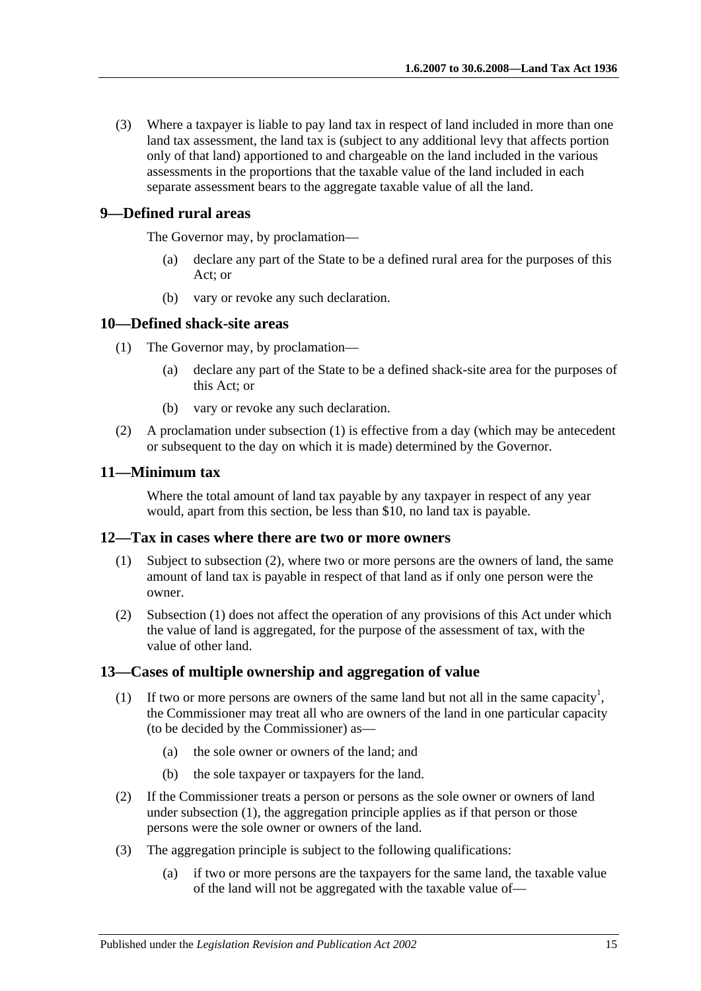(3) Where a taxpayer is liable to pay land tax in respect of land included in more than one land tax assessment, the land tax is (subject to any additional levy that affects portion only of that land) apportioned to and chargeable on the land included in the various assessments in the proportions that the taxable value of the land included in each separate assessment bears to the aggregate taxable value of all the land.

#### <span id="page-14-0"></span>**9—Defined rural areas**

The Governor may, by proclamation—

- (a) declare any part of the State to be a defined rural area for the purposes of this Act; or
- (b) vary or revoke any such declaration.

#### <span id="page-14-5"></span><span id="page-14-1"></span>**10—Defined shack-site areas**

- (1) The Governor may, by proclamation—
	- (a) declare any part of the State to be a defined shack-site area for the purposes of this Act; or
	- (b) vary or revoke any such declaration.
- (2) A proclamation under [subsection](#page-14-5) (1) is effective from a day (which may be antecedent or subsequent to the day on which it is made) determined by the Governor.

#### <span id="page-14-2"></span>**11—Minimum tax**

Where the total amount of land tax payable by any taxpayer in respect of any year would, apart from this section, be less than \$10, no land tax is payable.

#### <span id="page-14-7"></span><span id="page-14-3"></span>**12—Tax in cases where there are two or more owners**

- (1) Subject to [subsection](#page-14-6) (2), where two or more persons are the owners of land, the same amount of land tax is payable in respect of that land as if only one person were the owner.
- <span id="page-14-6"></span>(2) [Subsection](#page-14-7) (1) does not affect the operation of any provisions of this Act under which the value of land is aggregated, for the purpose of the assessment of tax, with the value of other land.

#### <span id="page-14-8"></span><span id="page-14-4"></span>**13—Cases of multiple ownership and aggregation of value**

- (1) If two or more persons are owners of the same land but not all in the same capacity<sup>1</sup>, the Commissioner may treat all who are owners of the land in one particular capacity (to be decided by the Commissioner) as—
	- (a) the sole owner or owners of the land; and
	- (b) the sole taxpayer or taxpayers for the land.
- (2) If the Commissioner treats a person or persons as the sole owner or owners of land under [subsection](#page-14-8) (1), the aggregation principle applies as if that person or those persons were the sole owner or owners of the land.
- (3) The aggregation principle is subject to the following qualifications:
	- (a) if two or more persons are the taxpayers for the same land, the taxable value of the land will not be aggregated with the taxable value of—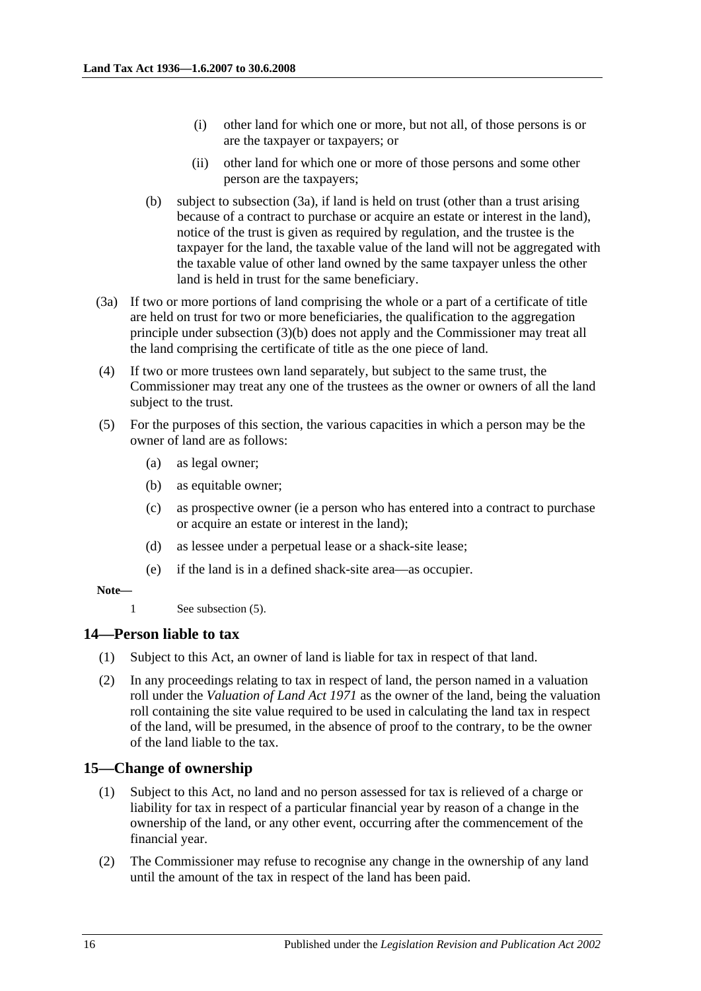- (i) other land for which one or more, but not all, of those persons is or are the taxpayer or taxpayers; or
- (ii) other land for which one or more of those persons and some other person are the taxpayers;
- <span id="page-15-3"></span>(b) subject to [subsection](#page-15-2) (3a), if land is held on trust (other than a trust arising because of a contract to purchase or acquire an estate or interest in the land), notice of the trust is given as required by regulation, and the trustee is the taxpayer for the land, the taxable value of the land will not be aggregated with the taxable value of other land owned by the same taxpayer unless the other land is held in trust for the same beneficiary.
- <span id="page-15-2"></span>(3a) If two or more portions of land comprising the whole or a part of a certificate of title are held on trust for two or more beneficiaries, the qualification to the aggregation principle under [subsection](#page-15-3) (3)(b) does not apply and the Commissioner may treat all the land comprising the certificate of title as the one piece of land.
- (4) If two or more trustees own land separately, but subject to the same trust, the Commissioner may treat any one of the trustees as the owner or owners of all the land subject to the trust.
- <span id="page-15-4"></span>(5) For the purposes of this section, the various capacities in which a person may be the owner of land are as follows:
	- (a) as legal owner;
	- (b) as equitable owner;
	- (c) as prospective owner (ie a person who has entered into a contract to purchase or acquire an estate or interest in the land);
	- (d) as lessee under a perpetual lease or a shack-site lease;
	- (e) if the land is in a defined shack-site area—as occupier.

#### **Note—**

1 See [subsection](#page-15-4) (5).

#### <span id="page-15-0"></span>**14—Person liable to tax**

- (1) Subject to this Act, an owner of land is liable for tax in respect of that land.
- (2) In any proceedings relating to tax in respect of land, the person named in a valuation roll under the *[Valuation of Land Act](http://www.legislation.sa.gov.au/index.aspx?action=legref&type=act&legtitle=Valuation%20of%20Land%20Act%201971) 1971* as the owner of the land, being the valuation roll containing the site value required to be used in calculating the land tax in respect of the land, will be presumed, in the absence of proof to the contrary, to be the owner of the land liable to the tax.

#### <span id="page-15-1"></span>**15—Change of ownership**

- (1) Subject to this Act, no land and no person assessed for tax is relieved of a charge or liability for tax in respect of a particular financial year by reason of a change in the ownership of the land, or any other event, occurring after the commencement of the financial year.
- (2) The Commissioner may refuse to recognise any change in the ownership of any land until the amount of the tax in respect of the land has been paid.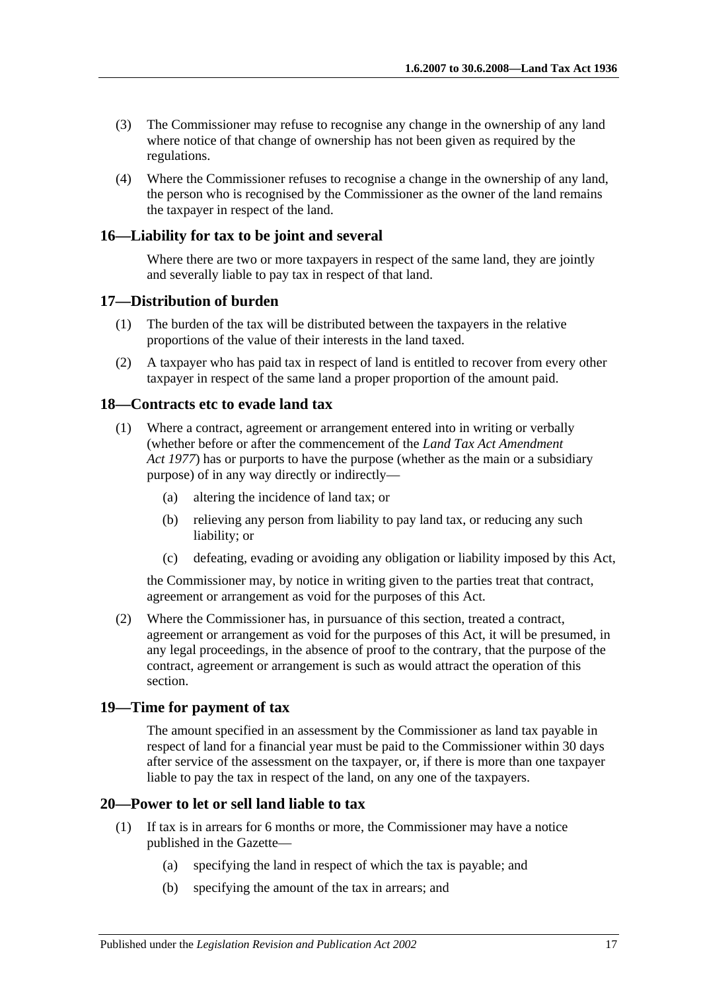- (3) The Commissioner may refuse to recognise any change in the ownership of any land where notice of that change of ownership has not been given as required by the regulations.
- (4) Where the Commissioner refuses to recognise a change in the ownership of any land, the person who is recognised by the Commissioner as the owner of the land remains the taxpayer in respect of the land.

#### <span id="page-16-0"></span>**16—Liability for tax to be joint and several**

Where there are two or more taxpayers in respect of the same land, they are jointly and severally liable to pay tax in respect of that land.

#### <span id="page-16-1"></span>**17—Distribution of burden**

- (1) The burden of the tax will be distributed between the taxpayers in the relative proportions of the value of their interests in the land taxed.
- (2) A taxpayer who has paid tax in respect of land is entitled to recover from every other taxpayer in respect of the same land a proper proportion of the amount paid.

#### <span id="page-16-2"></span>**18—Contracts etc to evade land tax**

- (1) Where a contract, agreement or arrangement entered into in writing or verbally (whether before or after the commencement of the *Land Tax Act Amendment Act 1977*) has or purports to have the purpose (whether as the main or a subsidiary purpose) of in any way directly or indirectly—
	- (a) altering the incidence of land tax; or
	- (b) relieving any person from liability to pay land tax, or reducing any such liability; or
	- (c) defeating, evading or avoiding any obligation or liability imposed by this Act,

the Commissioner may, by notice in writing given to the parties treat that contract, agreement or arrangement as void for the purposes of this Act.

(2) Where the Commissioner has, in pursuance of this section, treated a contract, agreement or arrangement as void for the purposes of this Act, it will be presumed, in any legal proceedings, in the absence of proof to the contrary, that the purpose of the contract, agreement or arrangement is such as would attract the operation of this section.

#### <span id="page-16-3"></span>**19—Time for payment of tax**

The amount specified in an assessment by the Commissioner as land tax payable in respect of land for a financial year must be paid to the Commissioner within 30 days after service of the assessment on the taxpayer, or, if there is more than one taxpayer liable to pay the tax in respect of the land, on any one of the taxpayers.

#### <span id="page-16-5"></span><span id="page-16-4"></span>**20—Power to let or sell land liable to tax**

- (1) If tax is in arrears for 6 months or more, the Commissioner may have a notice published in the Gazette—
	- (a) specifying the land in respect of which the tax is payable; and
	- (b) specifying the amount of the tax in arrears; and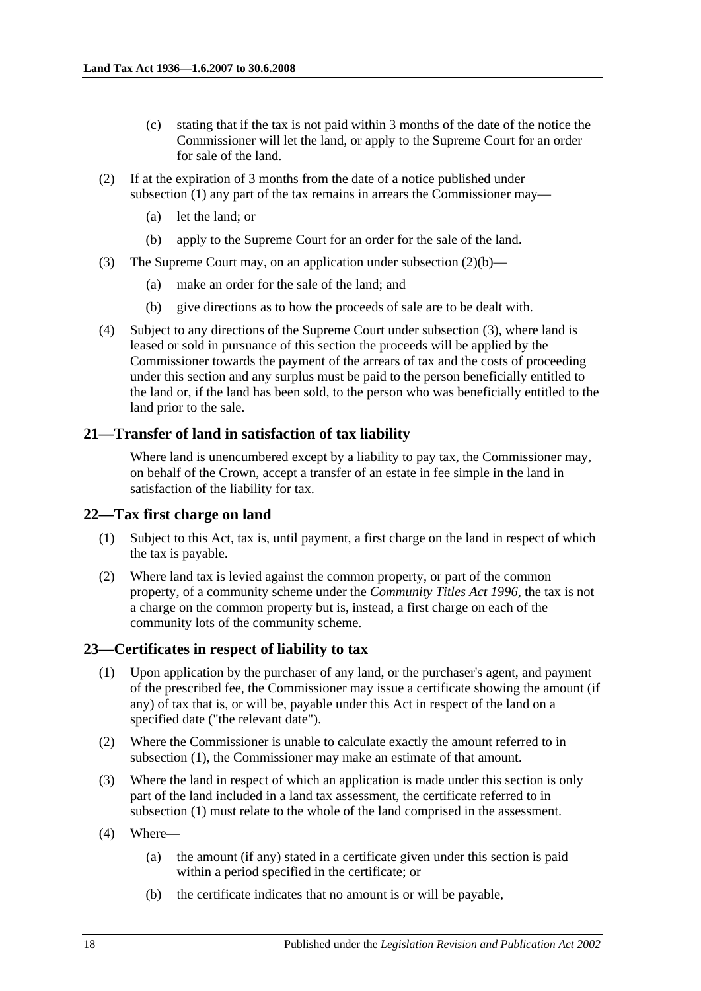- (c) stating that if the tax is not paid within 3 months of the date of the notice the Commissioner will let the land, or apply to the Supreme Court for an order for sale of the land.
- (2) If at the expiration of 3 months from the date of a notice published under [subsection](#page-16-5) (1) any part of the tax remains in arrears the Commissioner may—
	- (a) let the land; or
	- (b) apply to the Supreme Court for an order for the sale of the land.
- <span id="page-17-4"></span><span id="page-17-3"></span>(3) The Supreme Court may, on an application under [subsection](#page-17-3)  $(2)(b)$ —
	- (a) make an order for the sale of the land; and
	- (b) give directions as to how the proceeds of sale are to be dealt with.
- (4) Subject to any directions of the Supreme Court under [subsection](#page-17-4) (3), where land is leased or sold in pursuance of this section the proceeds will be applied by the Commissioner towards the payment of the arrears of tax and the costs of proceeding under this section and any surplus must be paid to the person beneficially entitled to the land or, if the land has been sold, to the person who was beneficially entitled to the land prior to the sale.

#### <span id="page-17-0"></span>**21—Transfer of land in satisfaction of tax liability**

Where land is unencumbered except by a liability to pay tax, the Commissioner may, on behalf of the Crown, accept a transfer of an estate in fee simple in the land in satisfaction of the liability for tax.

#### <span id="page-17-1"></span>**22—Tax first charge on land**

- (1) Subject to this Act, tax is, until payment, a first charge on the land in respect of which the tax is payable.
- (2) Where land tax is levied against the common property, or part of the common property, of a community scheme under the *[Community Titles Act](http://www.legislation.sa.gov.au/index.aspx?action=legref&type=act&legtitle=Community%20Titles%20Act%201996) 1996*, the tax is not a charge on the common property but is, instead, a first charge on each of the community lots of the community scheme.

#### <span id="page-17-5"></span><span id="page-17-2"></span>**23—Certificates in respect of liability to tax**

- (1) Upon application by the purchaser of any land, or the purchaser's agent, and payment of the prescribed fee, the Commissioner may issue a certificate showing the amount (if any) of tax that is, or will be, payable under this Act in respect of the land on a specified date ("the relevant date").
- (2) Where the Commissioner is unable to calculate exactly the amount referred to in [subsection](#page-17-5) (1), the Commissioner may make an estimate of that amount.
- (3) Where the land in respect of which an application is made under this section is only part of the land included in a land tax assessment, the certificate referred to in [subsection](#page-17-5) (1) must relate to the whole of the land comprised in the assessment.
- (4) Where—
	- (a) the amount (if any) stated in a certificate given under this section is paid within a period specified in the certificate; or
	- (b) the certificate indicates that no amount is or will be payable,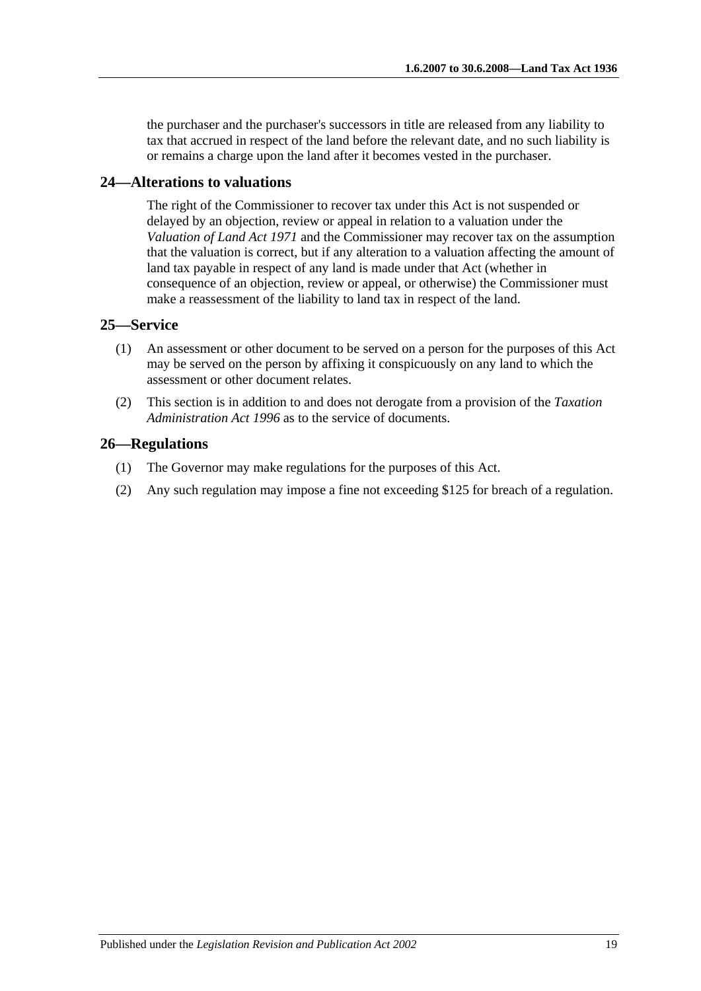the purchaser and the purchaser's successors in title are released from any liability to tax that accrued in respect of the land before the relevant date, and no such liability is or remains a charge upon the land after it becomes vested in the purchaser.

#### <span id="page-18-0"></span>**24—Alterations to valuations**

The right of the Commissioner to recover tax under this Act is not suspended or delayed by an objection, review or appeal in relation to a valuation under the *[Valuation of Land Act](http://www.legislation.sa.gov.au/index.aspx?action=legref&type=act&legtitle=Valuation%20of%20Land%20Act%201971) 1971* and the Commissioner may recover tax on the assumption that the valuation is correct, but if any alteration to a valuation affecting the amount of land tax payable in respect of any land is made under that Act (whether in consequence of an objection, review or appeal, or otherwise) the Commissioner must make a reassessment of the liability to land tax in respect of the land.

#### <span id="page-18-1"></span>**25—Service**

- (1) An assessment or other document to be served on a person for the purposes of this Act may be served on the person by affixing it conspicuously on any land to which the assessment or other document relates.
- (2) This section is in addition to and does not derogate from a provision of the *[Taxation](http://www.legislation.sa.gov.au/index.aspx?action=legref&type=act&legtitle=Taxation%20Administration%20Act%201996)  [Administration Act](http://www.legislation.sa.gov.au/index.aspx?action=legref&type=act&legtitle=Taxation%20Administration%20Act%201996) 1996* as to the service of documents.

#### <span id="page-18-2"></span>**26—Regulations**

- (1) The Governor may make regulations for the purposes of this Act.
- (2) Any such regulation may impose a fine not exceeding \$125 for breach of a regulation.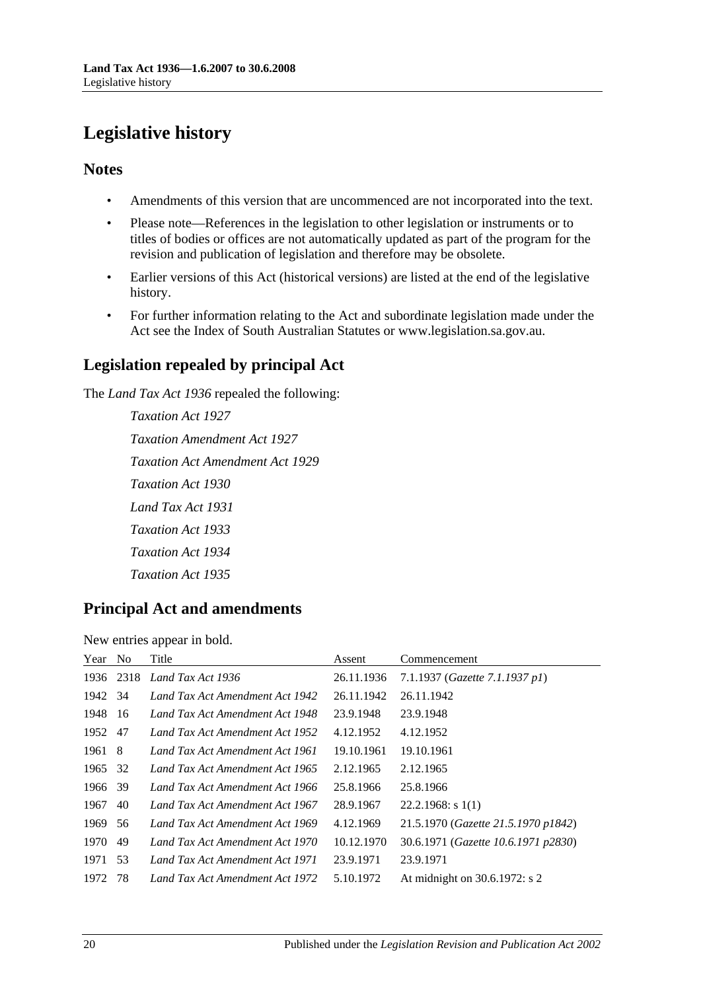# <span id="page-19-0"></span>**Legislative history**

### **Notes**

- Amendments of this version that are uncommenced are not incorporated into the text.
- Please note—References in the legislation to other legislation or instruments or to titles of bodies or offices are not automatically updated as part of the program for the revision and publication of legislation and therefore may be obsolete.
- Earlier versions of this Act (historical versions) are listed at the end of the legislative history.
- For further information relating to the Act and subordinate legislation made under the Act see the Index of South Australian Statutes or www.legislation.sa.gov.au.

# **Legislation repealed by principal Act**

The *Land Tax Act 1936* repealed the following:

*Taxation Act 1927 Taxation Amendment Act 1927 Taxation Act Amendment Act 1929 Taxation Act 1930 Land Tax Act 1931 Taxation Act 1933 Taxation Act 1934 Taxation Act 1935*

# **Principal Act and amendments**

New entries appear in bold.

| Year    | N <sub>o</sub> | Title                           | Assent     | Commencement                        |
|---------|----------------|---------------------------------|------------|-------------------------------------|
| 1936    | 2318           | Land Tax Act 1936               | 26.11.1936 | 7.1.1937 (Gazette 7.1.1937 p1)      |
| 1942    | -34            | Land Tax Act Amendment Act 1942 | 26.11.1942 | 26.11.1942                          |
| 1948    | -16            | Land Tax Act Amendment Act 1948 | 23.9.1948  | 23.9.1948                           |
| 1952    | 47             | Land Tax Act Amendment Act 1952 | 4.12.1952  | 4.12.1952                           |
| 1961 8  |                | Land Tax Act Amendment Act 1961 | 19.10.1961 | 19.10.1961                          |
| 1965 32 |                | Land Tax Act Amendment Act 1965 | 2.12.1965  | 2.12.1965                           |
| 1966    | -39            | Land Tax Act Amendment Act 1966 | 25.8.1966  | 25.8.1966                           |
| 1967    | 40             | Land Tax Act Amendment Act 1967 | 28.9.1967  | $22.2.1968$ : s 1(1)                |
| 1969    | 56             | Land Tax Act Amendment Act 1969 | 4.12.1969  | 21.5.1970 (Gazette 21.5.1970 p1842) |
| 1970    | 49             | Land Tax Act Amendment Act 1970 | 10.12.1970 | 30.6.1971 (Gazette 10.6.1971 p2830) |
| 1971 53 |                | Land Tax Act Amendment Act 1971 | 23.9.1971  | 23.9.1971                           |
| 1972    | 78             | Land Tax Act Amendment Act 1972 | 5.10.1972  | At midnight on 30.6.1972: s 2       |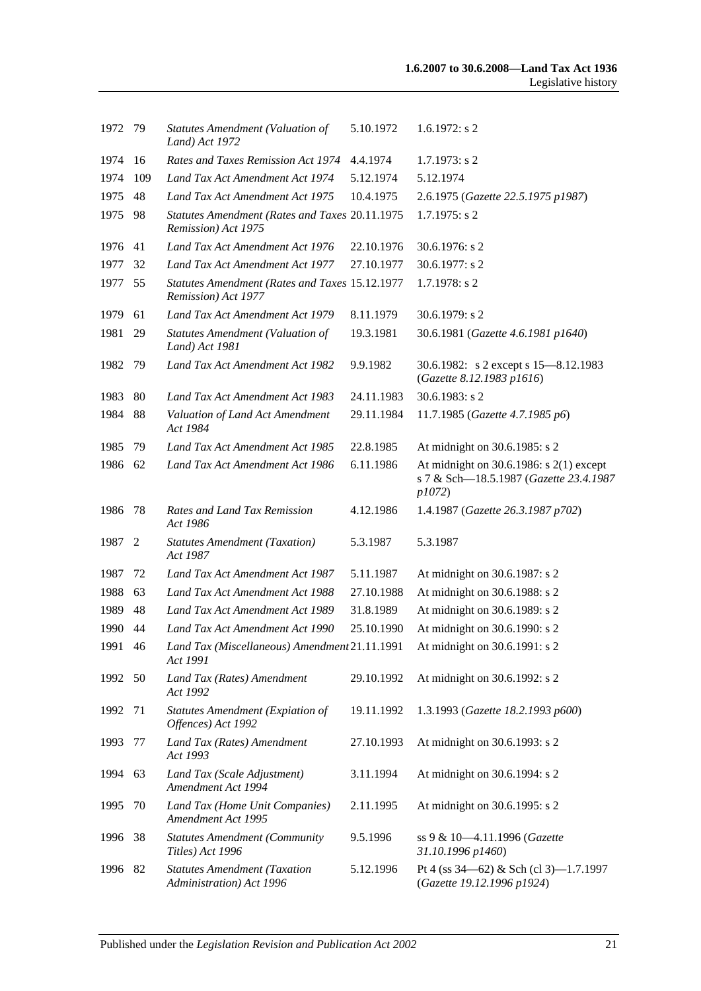| 1972 79 |     | <b>Statutes Amendment (Valuation of</b><br>Land) Act 1972                               | 5.10.1972  | $1.6.1972$ : s 2                                                                                 |
|---------|-----|-----------------------------------------------------------------------------------------|------------|--------------------------------------------------------------------------------------------------|
| 1974    | 16  | Rates and Taxes Remission Act 1974                                                      | 4.4.1974   | $1.7.1973$ : s 2                                                                                 |
| 1974    | 109 | Land Tax Act Amendment Act 1974                                                         | 5.12.1974  | 5.12.1974                                                                                        |
| 1975    | 48  | Land Tax Act Amendment Act 1975                                                         | 10.4.1975  | 2.6.1975 (Gazette 22.5.1975 p1987)                                                               |
| 1975    | 98  | Statutes Amendment (Rates and Taxes 20.11.1975<br>Remission) Act 1975                   |            | $1.7.1975$ : s 2                                                                                 |
| 1976    | 41  | Land Tax Act Amendment Act 1976                                                         | 22.10.1976 | $30.6.1976$ : s 2                                                                                |
| 1977    | 32  | Land Tax Act Amendment Act 1977                                                         | 27.10.1977 | $30.6.1977$ : s 2                                                                                |
| 1977    | 55  | Statutes Amendment (Rates and Taxes 15.12.1977<br>Remission) Act 1977                   |            | $1.7.1978$ : s 2                                                                                 |
| 1979    | 61  | Land Tax Act Amendment Act 1979                                                         | 8.11.1979  | $30.6.1979$ : s 2                                                                                |
| 1981    | 29  | <b>Statutes Amendment (Valuation of</b><br>Land) Act 1981                               | 19.3.1981  | 30.6.1981 (Gazette 4.6.1981 p1640)                                                               |
| 1982    | -79 | Land Tax Act Amendment Act 1982                                                         | 9.9.1982   | 30.6.1982: s 2 except s 15-8.12.1983<br>(Gazette 8.12.1983 p1616)                                |
| 1983    | 80  | Land Tax Act Amendment Act 1983                                                         | 24.11.1983 | $30.6.1983$ : s 2                                                                                |
| 1984    | 88  | Valuation of Land Act Amendment<br>Act 1984                                             | 29.11.1984 | 11.7.1985 (Gazette 4.7.1985 p6)                                                                  |
| 1985    | 79  | Land Tax Act Amendment Act 1985                                                         | 22.8.1985  | At midnight on 30.6.1985: s 2                                                                    |
| 1986    | 62  | Land Tax Act Amendment Act 1986                                                         | 6.11.1986  | At midnight on $30.6.1986$ : s $2(1)$ except<br>s 7 & Sch-18.5.1987 (Gazette 23.4.1987<br>p1072) |
| 1986    | 78  | Rates and Land Tax Remission<br>Act 1986                                                | 4.12.1986  | 1.4.1987 (Gazette 26.3.1987 p702)                                                                |
| 1987    | 2   | <b>Statutes Amendment (Taxation)</b><br>Act 1987                                        | 5.3.1987   | 5.3.1987                                                                                         |
| 1987    | 72  | Land Tax Act Amendment Act 1987                                                         | 5.11.1987  | At midnight on 30.6.1987: s 2                                                                    |
| 1988    | 63  | Land Tax Act Amendment Act 1988                                                         | 27.10.1988 | At midnight on 30.6.1988: s 2                                                                    |
| 1989    | 48  | Land Tax Act Amendment Act 1989                                                         | 31.8.1989  | At midnight on 30.6.1989: s 2                                                                    |
| 1990    | 44  | Land Tax Act Amendment Act 1990                                                         | 25.10.1990 | At midnight on 30.6.1990: s 2                                                                    |
| 1991 46 |     | Land Tax (Miscellaneous) Amendment 21.11.1991 At midnight on 30.6.1991: s 2<br>Act 1991 |            |                                                                                                  |
| 1992 50 |     | Land Tax (Rates) Amendment<br>Act 1992                                                  | 29.10.1992 | At midnight on 30.6.1992: s 2                                                                    |
| 1992    | 71  | <b>Statutes Amendment (Expiation of</b><br>Offences) Act 1992                           | 19.11.1992 | 1.3.1993 (Gazette 18.2.1993 p600)                                                                |
| 1993    | 77  | Land Tax (Rates) Amendment<br>Act 1993                                                  | 27.10.1993 | At midnight on 30.6.1993: s 2                                                                    |
| 1994    | 63  | Land Tax (Scale Adjustment)<br>Amendment Act 1994                                       | 3.11.1994  | At midnight on 30.6.1994: s 2                                                                    |
| 1995    | 70  | Land Tax (Home Unit Companies)<br>Amendment Act 1995                                    | 2.11.1995  | At midnight on 30.6.1995: s 2                                                                    |
| 1996    | 38  | <b>Statutes Amendment (Community</b><br>Titles) Act 1996                                | 9.5.1996   | ss 9 & 10-4.11.1996 (Gazette<br>31.10.1996 p1460)                                                |
| 1996    | 82  | <b>Statutes Amendment (Taxation</b><br>Administration) Act 1996                         | 5.12.1996  | Pt 4 (ss 34-62) & Sch (cl 3)-1.7.1997<br>(Gazette 19.12.1996 p1924)                              |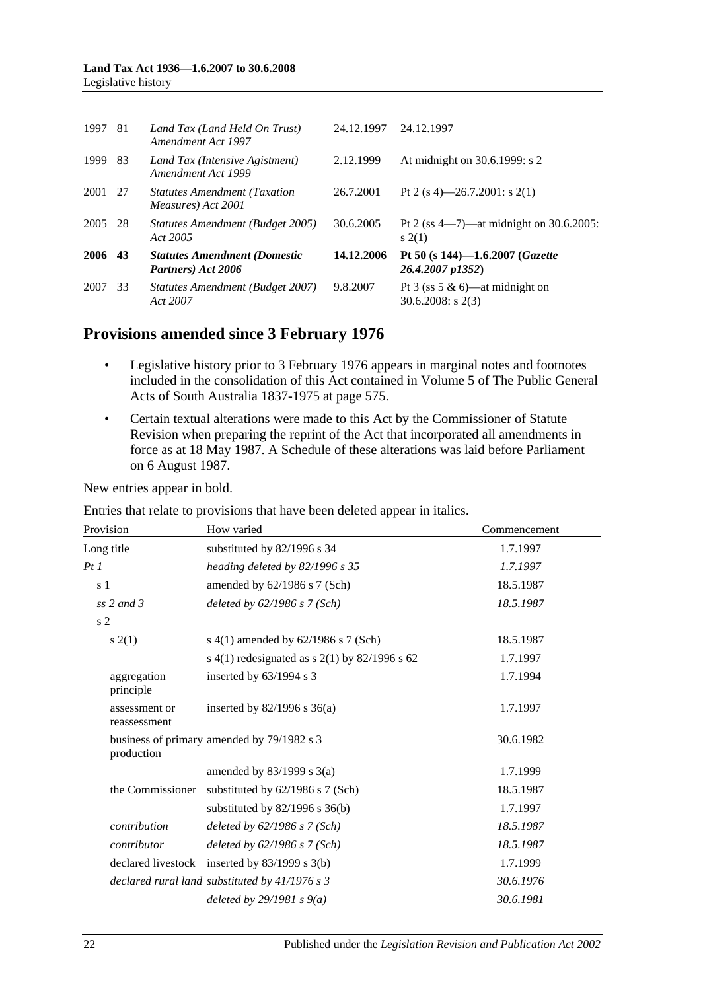| 1997 | -81 | Land Tax (Land Held On Trust)<br>Amendment Act 1997       | 24.12.1997 | 24.12.1997                                                     |
|------|-----|-----------------------------------------------------------|------------|----------------------------------------------------------------|
| 1999 | 83  | Land Tax (Intensive Agistment)<br>Amendment Act 1999      | 2.12.1999  | At midnight on 30.6.1999: s 2                                  |
| 2001 | 27  | <b>Statutes Amendment (Taxation</b><br>Measures) Act 2001 | 26.7.2001  | Pt 2 (s 4)—26.7.2001: s 2(1)                                   |
| 2005 | 28  | Statutes Amendment (Budget 2005)<br>Act 2005              | 30.6.2005  | Pt 2 (ss $4 - 7$ )—at midnight on 30.6.2005:<br>s(2(1))        |
| 2006 | 43  | <b>Statutes Amendment (Domestic</b><br>Partners) Act 2006 | 14.12.2006 | Pt 50 (s $144$ )-1.6.2007 ( <i>Gazette</i><br>26.4.2007 p1352) |
| 2007 | 33  | Statutes Amendment (Budget 2007)<br>Act 2007              | 9.8.2007   | Pt 3 (ss 5 $\&$ 6)—at midnight on<br>$30.6.2008$ : s $2(3)$    |

# **Provisions amended since 3 February 1976**

- Legislative history prior to 3 February 1976 appears in marginal notes and footnotes included in the consolidation of this Act contained in Volume 5 of The Public General Acts of South Australia 1837-1975 at page 575.
- Certain textual alterations were made to this Act by the Commissioner of Statute Revision when preparing the reprint of the Act that incorporated all amendments in force as at 18 May 1987. A Schedule of these alterations was laid before Parliament on 6 August 1987.

New entries appear in bold.

Entries that relate to provisions that have been deleted appear in italics.

| Provision                     | How varied                                        | Commencement |
|-------------------------------|---------------------------------------------------|--------------|
| Long title                    | substituted by 82/1996 s 34                       | 1.7.1997     |
| PtI                           | heading deleted by 82/1996 s 35                   | 1.7.1997     |
| s <sub>1</sub>                | amended by 62/1986 s 7 (Sch)                      | 18.5.1987    |
| $ss$ 2 and 3                  | deleted by $62/1986$ s $7(Sch)$                   | 18.5.1987    |
| s <sub>2</sub>                |                                                   |              |
| s(2(1))                       | s $4(1)$ amended by $62/1986$ s 7 (Sch)           | 18.5.1987    |
|                               | s $4(1)$ redesignated as s $2(1)$ by 82/1996 s 62 | 1.7.1997     |
| aggregation<br>principle      | inserted by $63/1994$ s 3                         | 1.7.1994     |
| assessment or<br>reassessment | inserted by $82/1996$ s $36(a)$                   | 1.7.1997     |
| production                    | business of primary amended by 79/1982 s 3        | 30.6.1982    |
|                               | amended by $83/1999$ s $3(a)$                     | 1.7.1999     |
| the Commissioner              | substituted by 62/1986 s 7 (Sch)                  | 18.5.1987    |
|                               | substituted by $82/1996$ s $36(b)$                | 1.7.1997     |
| contribution                  | deleted by $62/1986$ s $7(Sch)$                   | 18.5.1987    |
| contributor                   | deleted by $62/1986$ s $7(Sch)$                   | 18.5.1987    |
|                               | declared livestock inserted by 83/1999 s 3(b)     | 1.7.1999     |
|                               | declared rural land substituted by $41/1976 s 3$  | 30.6.1976    |
|                               | deleted by $29/1981 s 9(a)$                       | 30.6.1981    |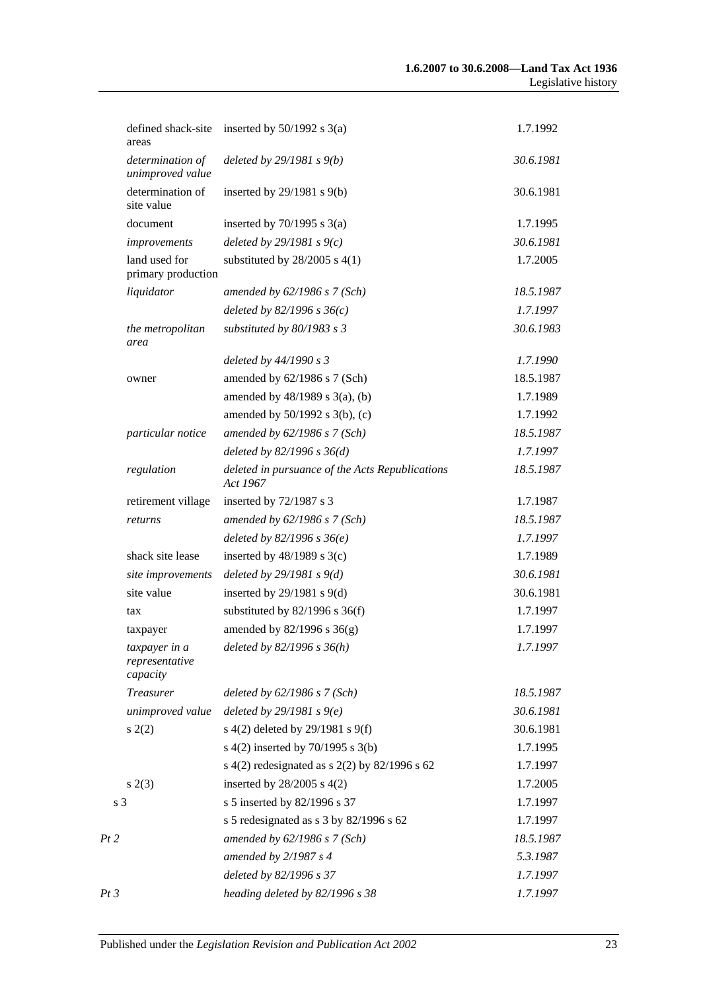|      | defined shack-site<br>areas                 | inserted by $50/1992$ s $3(a)$                              | 1.7.1992  |
|------|---------------------------------------------|-------------------------------------------------------------|-----------|
|      | determination of<br>unimproved value        | deleted by $29/1981 s 9(b)$                                 | 30.6.1981 |
|      | determination of<br>site value              | inserted by $29/1981$ s $9(b)$                              | 30.6.1981 |
|      | document                                    | inserted by $70/1995$ s $3(a)$                              | 1.7.1995  |
|      | improvements                                | deleted by $29/1981 s$ 9(c)                                 | 30.6.1981 |
|      | land used for<br>primary production         | substituted by $28/2005$ s 4(1)                             | 1.7.2005  |
|      | liquidator                                  | amended by $62/1986$ s $7$ (Sch)                            | 18.5.1987 |
|      |                                             | deleted by $82/1996 s 36(c)$                                | 1.7.1997  |
|      | the metropolitan<br>area                    | substituted by $80/1983$ s 3                                | 30.6.1983 |
|      |                                             | deleted by 44/1990 s 3                                      | 1.7.1990  |
|      | owner                                       | amended by 62/1986 s 7 (Sch)                                | 18.5.1987 |
|      |                                             | amended by $48/1989$ s $3(a)$ , (b)                         | 1.7.1989  |
|      |                                             | amended by 50/1992 s 3(b), (c)                              | 1.7.1992  |
|      | particular notice                           | amended by $62/1986$ s $7$ (Sch)                            | 18.5.1987 |
|      |                                             | deleted by $82/1996 s 36(d)$                                | 1.7.1997  |
|      | regulation                                  | deleted in pursuance of the Acts Republications<br>Act 1967 | 18.5.1987 |
|      | retirement village                          | inserted by 72/1987 s 3                                     | 1.7.1987  |
|      | returns                                     | amended by $62/1986$ s $7$ (Sch)                            | 18.5.1987 |
|      |                                             | deleted by $82/1996 s 36(e)$                                | 1.7.1997  |
|      | shack site lease                            | inserted by $48/1989$ s $3(c)$                              | 1.7.1989  |
|      | site improvements                           | deleted by $29/1981 s 9(d)$                                 | 30.6.1981 |
|      | site value                                  | inserted by $29/1981$ s $9(d)$                              | 30.6.1981 |
|      | tax                                         | substituted by $82/1996$ s $36(f)$                          | 1.7.1997  |
|      | taxpayer                                    | amended by $82/1996$ s $36(g)$                              | 1.7.1997  |
|      | taxpayer in a<br>representative<br>capacity | deleted by $82/1996 s 36(h)$                                | 1.7.1997  |
|      | <b>Treasurer</b>                            | deleted by $62/1986$ s $7$ (Sch)                            | 18.5.1987 |
|      | unimproved value                            | deleted by $29/1981 s$ 9(e)                                 | 30.6.1981 |
|      | s(2)                                        | s 4(2) deleted by 29/1981 s 9(f)                            | 30.6.1981 |
|      |                                             | s 4(2) inserted by 70/1995 s 3(b)                           | 1.7.1995  |
|      |                                             | s 4(2) redesignated as s 2(2) by 82/1996 s 62               | 1.7.1997  |
|      | s(2(3)                                      | inserted by $28/2005$ s $4(2)$                              | 1.7.2005  |
|      | s <sub>3</sub>                              | s 5 inserted by 82/1996 s 37                                | 1.7.1997  |
|      |                                             | s 5 redesignated as s 3 by 82/1996 s 62                     | 1.7.1997  |
| Pt 2 |                                             | amended by 62/1986 s 7 (Sch)                                | 18.5.1987 |
|      |                                             | amended by $2/1987 s 4$                                     | 5.3.1987  |
|      |                                             | deleted by 82/1996 s 37                                     | 1.7.1997  |
| Pt 3 |                                             | heading deleted by 82/1996 s 38                             | 1.7.1997  |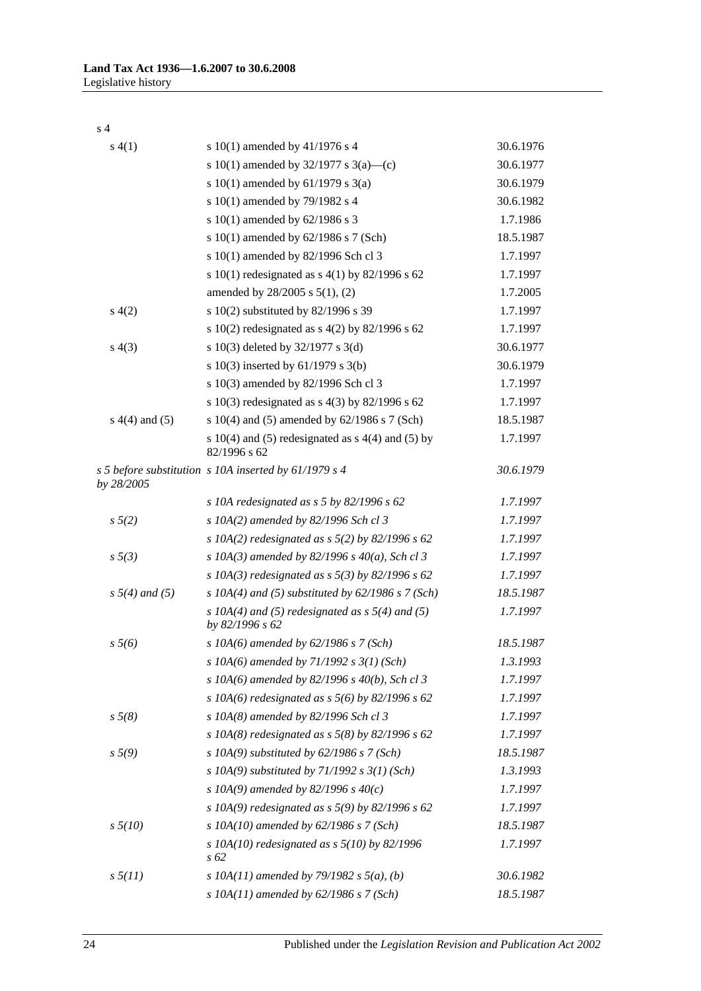s 4

| s(4(1))             | s 10(1) amended by 41/1976 s 4                                         | 30.6.1976 |
|---------------------|------------------------------------------------------------------------|-----------|
|                     | s 10(1) amended by 32/1977 s 3(a)—(c)                                  | 30.6.1977 |
|                     | s 10(1) amended by 61/1979 s 3(a)                                      | 30.6.1979 |
|                     | s 10(1) amended by 79/1982 s 4                                         | 30.6.1982 |
|                     | s 10(1) amended by 62/1986 s 3                                         | 1.7.1986  |
|                     | s $10(1)$ amended by $62/1986$ s 7 (Sch)                               | 18.5.1987 |
|                     | s 10(1) amended by 82/1996 Sch cl 3                                    | 1.7.1997  |
|                     | s 10(1) redesignated as $s$ 4(1) by 82/1996 s 62                       | 1.7.1997  |
|                     | amended by 28/2005 s 5(1), (2)                                         | 1.7.2005  |
| s(4(2)              | s $10(2)$ substituted by 82/1996 s 39                                  | 1.7.1997  |
|                     | s 10(2) redesignated as s 4(2) by 82/1996 s 62                         | 1.7.1997  |
| s(4(3))             | s 10(3) deleted by 32/1977 s 3(d)                                      | 30.6.1977 |
|                     | s 10(3) inserted by 61/1979 s 3(b)                                     | 30.6.1979 |
|                     | s 10(3) amended by 82/1996 Sch cl 3                                    | 1.7.1997  |
|                     | s 10(3) redesignated as s 4(3) by 82/1996 s 62                         | 1.7.1997  |
| $s(4(4)$ and $(5)$  | s $10(4)$ and (5) amended by $62/1986$ s 7 (Sch)                       | 18.5.1987 |
|                     | s 10(4) and (5) redesignated as $s$ 4(4) and (5) by<br>82/1996 s 62    | 1.7.1997  |
| by 28/2005          | s 5 before substitution s 10A inserted by 61/1979 s 4                  | 30.6.1979 |
|                     | s 10A redesignated as $s$ 5 by 82/1996 $s$ 62                          | 1.7.1997  |
| $s\,5(2)$           | s 10A(2) amended by 82/1996 Sch cl 3                                   | 1.7.1997  |
|                     | s 10A(2) redesignated as s $5(2)$ by 82/1996 s 62                      | 1.7.1997  |
| $s \, 5(3)$         | s 10A(3) amended by 82/1996 s 40(a), Sch cl 3                          | 1.7.1997  |
|                     | s 10A(3) redesignated as $s$ 5(3) by 82/1996 s 62                      | 1.7.1997  |
| $s \, 5(4)$ and (5) | s 10A(4) and (5) substituted by $62/1986$ s $7 (Sch)$                  | 18.5.1987 |
|                     | s $10A(4)$ and (5) redesignated as s $5(4)$ and (5)<br>by 82/1996 s 62 | 1.7.1997  |
| $s\,5(6)$           | s 10A(6) amended by $62/1986$ s 7 (Sch)                                | 18.5.1987 |
|                     | s 10A(6) amended by 71/1992 s $3(1)$ (Sch)                             | 1.3.1993  |
|                     | s 10A(6) amended by 82/1996 s 40(b), Sch cl 3                          | 1.7.1997  |
|                     | s 10A(6) redesignated as $s$ 5(6) by 82/1996 s 62                      | 1.7.1997  |
| $s \, 5(8)$         | s 10A(8) amended by 82/1996 Sch cl 3                                   | 1.7.1997  |
|                     | s 10A(8) redesignated as $s$ 5(8) by 82/1996 s 62                      | 1.7.1997  |
| $s\,5(9)$           | s 10A(9) substituted by $62/1986$ s 7 (Sch)                            | 18.5.1987 |
|                     | s 10A(9) substituted by 71/1992 s $3(1)$ (Sch)                         | 1.3.1993  |
|                     | s 10A(9) amended by 82/1996 s $40(c)$                                  | 1.7.1997  |
|                     | s 10A(9) redesignated as s $5(9)$ by 82/1996 s 62                      | 1.7.1997  |
| $s \frac{5}{10}$    | s 10A(10) amended by 62/1986 s 7 (Sch)                                 | 18.5.1987 |
|                     | s $10A(10)$ redesignated as s $5(10)$ by 82/1996<br>$s\,62$            | 1.7.1997  |
| $s \frac{5}{11}$    | s 10A(11) amended by 79/1982 s $5(a)$ , (b)                            | 30.6.1982 |
|                     | s $10A(11)$ amended by 62/1986 s 7 (Sch)                               | 18.5.1987 |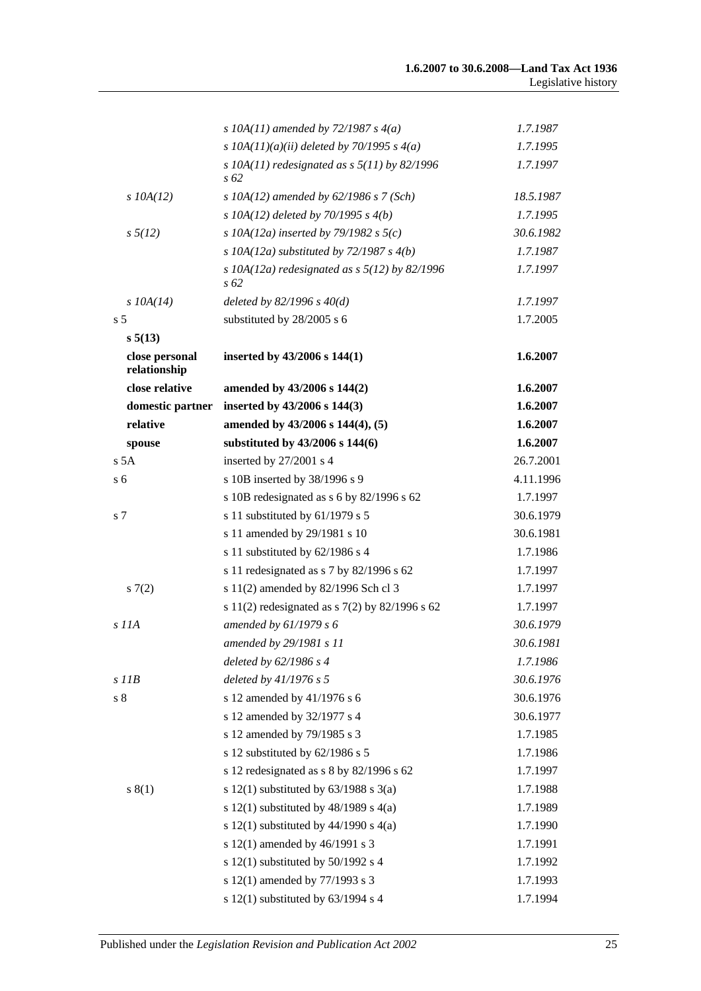|                                | s 10A(11) amended by 72/1987 s $4(a)$                      | 1.7.1987  |
|--------------------------------|------------------------------------------------------------|-----------|
|                                | s $10A(11)(a)(ii)$ deleted by 70/1995 s 4(a)               | 1.7.1995  |
|                                | s $10A(11)$ redesignated as s $5(11)$ by 82/1996<br>s 62   | 1.7.1997  |
| $s$ 10A(12)                    | s 10A(12) amended by $62/1986$ s 7 (Sch)                   | 18.5.1987 |
|                                | s 10A(12) deleted by 70/1995 s $4(b)$                      | 1.7.1995  |
| $s\,5(12)$                     | s 10A(12a) inserted by 79/1982 s $5(c)$                    | 30.6.1982 |
|                                | s $10A(12a)$ substituted by 72/1987 s $4(b)$               | 1.7.1987  |
|                                | s 10A(12a) redesignated as $s$ 5(12) by 82/1996<br>$s\,62$ | 1.7.1997  |
| $s$ 10A(14)                    | deleted by $82/1996 s 40(d)$                               | 1.7.1997  |
| s <sub>5</sub>                 | substituted by 28/2005 s 6                                 | 1.7.2005  |
| s 5(13)                        |                                                            |           |
| close personal<br>relationship | inserted by 43/2006 s 144(1)                               | 1.6.2007  |
| close relative                 | amended by 43/2006 s 144(2)                                | 1.6.2007  |
| domestic partner               | inserted by 43/2006 s 144(3)                               | 1.6.2007  |
| relative                       | amended by 43/2006 s 144(4), (5)                           | 1.6.2007  |
| spouse                         | substituted by 43/2006 s 144(6)                            | 1.6.2007  |
| s 5A                           | inserted by 27/2001 s 4                                    | 26.7.2001 |
| s <sub>6</sub>                 | s 10B inserted by 38/1996 s 9                              | 4.11.1996 |
|                                | s 10B redesignated as s 6 by 82/1996 s 62                  | 1.7.1997  |
| s 7                            | s 11 substituted by 61/1979 s 5                            | 30.6.1979 |
|                                | s 11 amended by 29/1981 s 10                               | 30.6.1981 |
|                                | s 11 substituted by 62/1986 s 4                            | 1.7.1986  |
|                                | s 11 redesignated as s 7 by 82/1996 s 62                   | 1.7.1997  |
| s(7(2)                         | s 11(2) amended by 82/1996 Sch cl 3                        | 1.7.1997  |
|                                | s 11(2) redesignated as s 7(2) by 82/1996 s 62             | 1.7.1997  |
| s 11A                          | amended by $61/1979 s 6$                                   | 30.6.1979 |
|                                | amended by 29/1981 s 11                                    | 30.6.1981 |
|                                | deleted by 62/1986 s 4                                     | 1.7.1986  |
| $s$ $11B$                      | deleted by 41/1976 s 5                                     | 30.6.1976 |
| s <sub>8</sub>                 | s 12 amended by 41/1976 s 6                                | 30.6.1976 |
|                                | s 12 amended by 32/1977 s 4                                | 30.6.1977 |
|                                | s 12 amended by 79/1985 s 3                                | 1.7.1985  |
|                                | s 12 substituted by 62/1986 s 5                            | 1.7.1986  |
|                                | s 12 redesignated as s 8 by 82/1996 s 62                   | 1.7.1997  |
| s(1)                           | s 12(1) substituted by $63/1988$ s 3(a)                    | 1.7.1988  |
|                                | s 12(1) substituted by $48/1989$ s $4(a)$                  | 1.7.1989  |
|                                | s 12(1) substituted by $44/1990$ s $4(a)$                  | 1.7.1990  |
|                                | s 12(1) amended by 46/1991 s 3                             | 1.7.1991  |
|                                | s 12(1) substituted by $50/1992$ s 4                       | 1.7.1992  |
|                                | s 12(1) amended by 77/1993 s 3                             | 1.7.1993  |
|                                | s $12(1)$ substituted by $63/1994$ s 4                     | 1.7.1994  |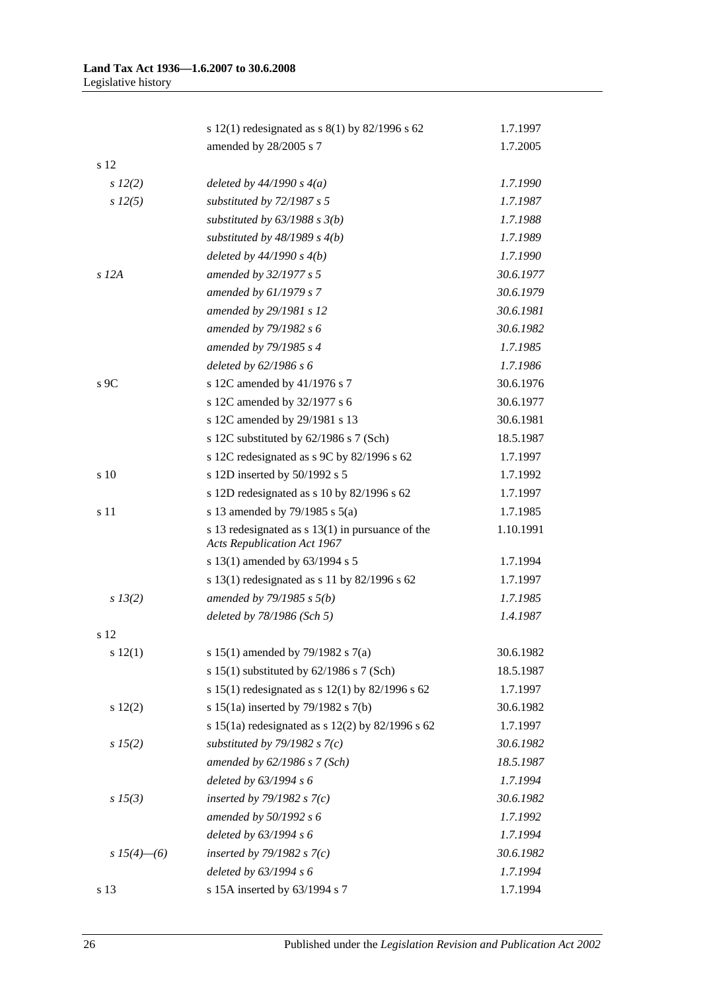|                 | s 12(1) redesignated as $s(1)$ by 82/1996 s 62                                           | 1.7.1997  |
|-----------------|------------------------------------------------------------------------------------------|-----------|
|                 | amended by 28/2005 s 7                                                                   | 1.7.2005  |
| s 12            |                                                                                          |           |
| $s\ 12(2)$      | deleted by $44/1990 s 4(a)$                                                              | 1.7.1990  |
| $s\,12(5)$      | substituted by $72/1987 s 5$                                                             | 1.7.1987  |
|                 | substituted by $63/1988$ s $3(b)$                                                        | 1.7.1988  |
|                 | substituted by $48/1989$ s $4(b)$                                                        | 1.7.1989  |
|                 | deleted by $44/1990 s 4(b)$                                                              | 1.7.1990  |
| s 12A           | amended by 32/1977 s 5                                                                   | 30.6.1977 |
|                 | amended by $61/1979 s$ 7                                                                 | 30.6.1979 |
|                 | amended by 29/1981 s 12                                                                  | 30.6.1981 |
|                 | amended by 79/1982 s 6                                                                   | 30.6.1982 |
|                 | amended by 79/1985 s 4                                                                   | 1.7.1985  |
|                 | deleted by 62/1986 s 6                                                                   | 1.7.1986  |
| $s$ 9C          | s 12C amended by 41/1976 s 7                                                             | 30.6.1976 |
|                 | s 12C amended by 32/1977 s 6                                                             | 30.6.1977 |
|                 | s 12C amended by 29/1981 s 13                                                            | 30.6.1981 |
|                 | s 12C substituted by 62/1986 s 7 (Sch)                                                   | 18.5.1987 |
|                 | s 12C redesignated as s 9C by 82/1996 s 62                                               | 1.7.1997  |
| s 10            | s 12D inserted by 50/1992 s 5                                                            | 1.7.1992  |
|                 | s 12D redesignated as s 10 by 82/1996 s 62                                               | 1.7.1997  |
| s 11            | s 13 amended by 79/1985 s 5(a)                                                           | 1.7.1985  |
|                 | s 13 redesignated as $s$ 13(1) in pursuance of the<br><b>Acts Republication Act 1967</b> | 1.10.1991 |
|                 | s 13(1) amended by 63/1994 s 5                                                           | 1.7.1994  |
|                 | s 13(1) redesignated as s 11 by $82/1996$ s 62                                           | 1.7.1997  |
| $s\,13(2)$      | amended by $79/1985 s 5(b)$                                                              | 1.7.1985  |
|                 | deleted by 78/1986 (Sch 5)                                                               | 1.4.1987  |
| s 12            |                                                                                          |           |
| s 12(1)         | s 15(1) amended by 79/1982 s 7(a)                                                        | 30.6.1982 |
|                 | s $15(1)$ substituted by $62/1986$ s 7 (Sch)                                             | 18.5.1987 |
|                 | s 15(1) redesignated as s 12(1) by 82/1996 s 62                                          | 1.7.1997  |
| s 12(2)         | s 15(1a) inserted by 79/1982 s 7(b)                                                      | 30.6.1982 |
|                 | s 15(1a) redesignated as s 12(2) by 82/1996 s 62                                         | 1.7.1997  |
| $s\,15(2)$      | substituted by 79/1982 s $7(c)$                                                          | 30.6.1982 |
|                 | amended by 62/1986 s 7 (Sch)                                                             | 18.5.1987 |
|                 | deleted by 63/1994 s 6                                                                   | 1.7.1994  |
| $s\,15(3)$      | inserted by 79/1982 s $7(c)$                                                             | 30.6.1982 |
|                 | amended by 50/1992 s 6                                                                   | 1.7.1992  |
|                 | deleted by 63/1994 s 6                                                                   | 1.7.1994  |
| s $15(4)$ - (6) | inserted by 79/1982 s $7(c)$                                                             | 30.6.1982 |
|                 | deleted by 63/1994 s 6                                                                   | 1.7.1994  |
| s 13            | s 15A inserted by 63/1994 s 7                                                            | 1.7.1994  |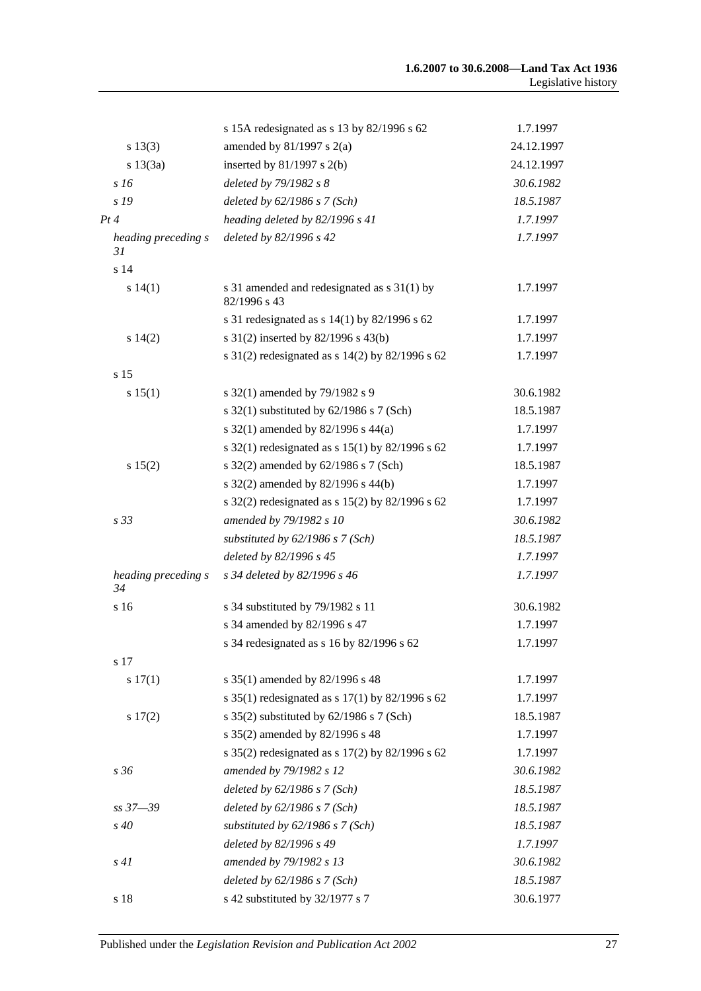|                           | s 15A redesignated as s 13 by 82/1996 s 62                  | 1.7.1997   |
|---------------------------|-------------------------------------------------------------|------------|
| s 13(3)                   | amended by $81/1997$ s $2(a)$                               | 24.12.1997 |
| s 13(3a)                  | inserted by $81/1997$ s $2(b)$                              | 24.12.1997 |
| s 16                      | deleted by 79/1982 s 8                                      | 30.6.1982  |
| s <sub>19</sub>           | deleted by $62/1986$ s $7$ (Sch)                            | 18.5.1987  |
| Pt4                       | heading deleted by 82/1996 s 41                             | 1.7.1997   |
| heading preceding s<br>31 | deleted by 82/1996 s 42                                     | 1.7.1997   |
| s 14                      |                                                             |            |
| s 14(1)                   | s 31 amended and redesignated as s 31(1) by<br>82/1996 s 43 | 1.7.1997   |
|                           | s 31 redesignated as $s$ 14(1) by 82/1996 s 62              | 1.7.1997   |
| s 14(2)                   | s 31(2) inserted by 82/1996 s 43(b)                         | 1.7.1997   |
|                           | s 31(2) redesignated as s $14(2)$ by 82/1996 s 62           | 1.7.1997   |
| s 15                      |                                                             |            |
| s 15(1)                   | s 32(1) amended by 79/1982 s 9                              | 30.6.1982  |
|                           | s $32(1)$ substituted by $62/1986$ s 7 (Sch)                | 18.5.1987  |
|                           | s $32(1)$ amended by $82/1996$ s $44(a)$                    | 1.7.1997   |
|                           | s 32(1) redesignated as s 15(1) by 82/1996 s 62             | 1.7.1997   |
| s 15(2)                   | s 32(2) amended by 62/1986 s 7 (Sch)                        | 18.5.1987  |
|                           | s 32(2) amended by 82/1996 s 44(b)                          | 1.7.1997   |
|                           | s 32(2) redesignated as s $15(2)$ by 82/1996 s 62           | 1.7.1997   |
| s 33                      | amended by 79/1982 s 10                                     | 30.6.1982  |
|                           | substituted by $62/1986$ s $7$ (Sch)                        | 18.5.1987  |
|                           | deleted by 82/1996 s 45                                     | 1.7.1997   |
| heading preceding s<br>34 | s 34 deleted by 82/1996 s 46                                | 1.7.1997   |
| s 16                      | s 34 substituted by 79/1982 s 11                            | 30.6.1982  |
|                           | s 34 amended by 82/1996 s 47                                | 1.7.1997   |
|                           | s 34 redesignated as s 16 by 82/1996 s 62                   | 1.7.1997   |
| s 17                      |                                                             |            |
| s 17(1)                   | s 35(1) amended by 82/1996 s 48                             | 1.7.1997   |
|                           | s 35(1) redesignated as s $17(1)$ by 82/1996 s 62           | 1.7.1997   |
| s 17(2)                   | s $35(2)$ substituted by $62/1986$ s 7 (Sch)                | 18.5.1987  |
|                           | s 35(2) amended by 82/1996 s 48                             | 1.7.1997   |
|                           | s 35(2) redesignated as s 17(2) by 82/1996 s 62             | 1.7.1997   |
| s36                       | amended by 79/1982 s 12                                     | 30.6.1982  |
|                           | deleted by $62/1986$ s $7$ (Sch)                            | 18.5.1987  |
| $ss\,37 - 39$             | deleted by $62/1986$ s $7$ (Sch)                            | 18.5.1987  |
| $s\,40$                   | substituted by $62/1986$ s $7$ (Sch)                        | 18.5.1987  |
|                           | deleted by 82/1996 s 49                                     | 1.7.1997   |
| s41                       | amended by 79/1982 s 13                                     | 30.6.1982  |
|                           | deleted by $62/1986$ s $7$ (Sch)                            | 18.5.1987  |
| s 18                      | s 42 substituted by 32/1977 s 7                             | 30.6.1977  |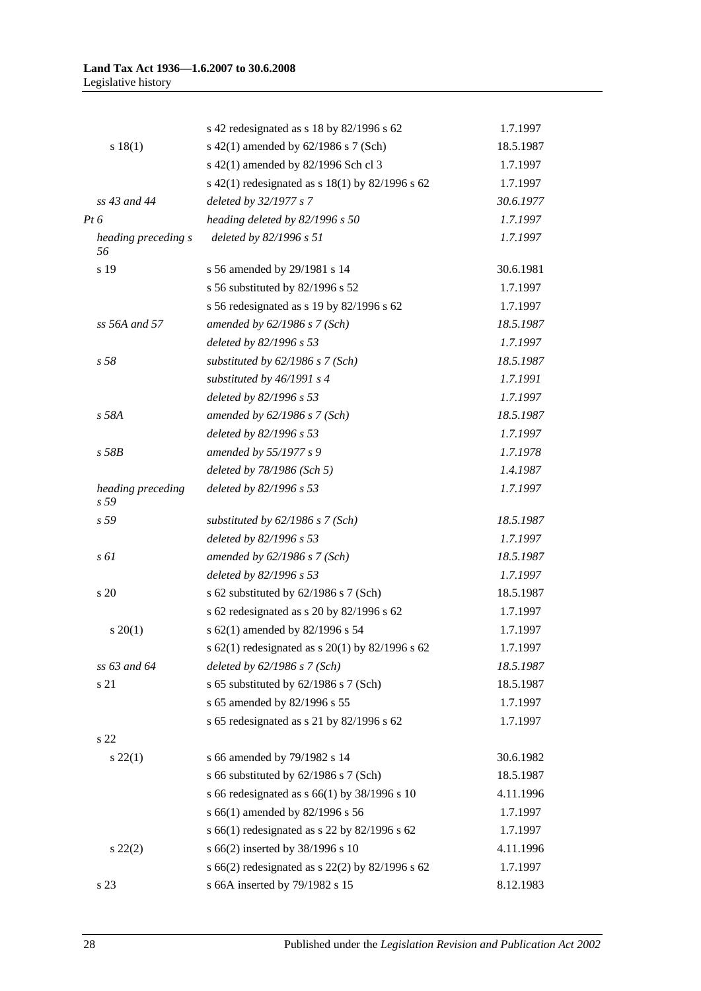|                           | s 42 redesignated as s 18 by 82/1996 s 62       | 1.7.1997  |
|---------------------------|-------------------------------------------------|-----------|
| s 18(1)                   | s 42(1) amended by 62/1986 s 7 (Sch)            | 18.5.1987 |
|                           | s 42(1) amended by 82/1996 Sch cl 3             | 1.7.1997  |
|                           | s 42(1) redesignated as s 18(1) by 82/1996 s 62 | 1.7.1997  |
| ss 43 and 44              | deleted by 32/1977 s 7                          | 30.6.1977 |
| Pt 6                      | heading deleted by 82/1996 s 50                 | 1.7.1997  |
| heading preceding s<br>56 | deleted by 82/1996 s 51                         | 1.7.1997  |
| s 19                      | s 56 amended by 29/1981 s 14                    | 30.6.1981 |
|                           | s 56 substituted by 82/1996 s 52                | 1.7.1997  |
|                           | s 56 redesignated as s 19 by 82/1996 s 62       | 1.7.1997  |
| ss 56A and 57             | amended by $62/1986$ s $7$ (Sch)                | 18.5.1987 |
|                           | deleted by 82/1996 s 53                         | 1.7.1997  |
| s <sub>58</sub>           | substituted by $62/1986$ s $7 (Sch)$            | 18.5.1987 |
|                           | substituted by 46/1991 s 4                      | 1.7.1991  |
|                           | deleted by 82/1996 s 53                         | 1.7.1997  |
| s 58A                     | amended by $62/1986$ s $7$ (Sch)                | 18.5.1987 |
|                           | deleted by 82/1996 s 53                         | 1.7.1997  |
| s 58B                     | amended by 55/1977 s 9                          | 1.7.1978  |
|                           | deleted by 78/1986 (Sch 5)                      | 1.4.1987  |
| heading preceding<br>s 59 | deleted by 82/1996 s 53                         | 1.7.1997  |
| s 59                      | substituted by $62/1986$ s $7$ (Sch)            | 18.5.1987 |
|                           | deleted by 82/1996 s 53                         | 1.7.1997  |
| s 61                      | amended by $62/1986$ s $7$ (Sch)                | 18.5.1987 |
|                           | deleted by 82/1996 s 53                         | 1.7.1997  |
| s 20                      | s 62 substituted by 62/1986 s 7 (Sch)           | 18.5.1987 |
|                           | s 62 redesignated as s 20 by 82/1996 s 62       | 1.7.1997  |
| $s \ 20(1)$               | s 62(1) amended by 82/1996 s 54                 | 1.7.1997  |
|                           | s 62(1) redesignated as s 20(1) by 82/1996 s 62 | 1.7.1997  |
| $ss 63$ and $64$          | deleted by $62/1986$ s $7 (Sch)$                | 18.5.1987 |
| s 21                      | s 65 substituted by 62/1986 s 7 (Sch)           | 18.5.1987 |
|                           | s 65 amended by 82/1996 s 55                    | 1.7.1997  |
|                           | s 65 redesignated as s 21 by 82/1996 s 62       | 1.7.1997  |
| s <sub>22</sub>           |                                                 |           |
| $s\,22(1)$                | s 66 amended by 79/1982 s 14                    | 30.6.1982 |
|                           | s 66 substituted by 62/1986 s 7 (Sch)           | 18.5.1987 |
|                           | s 66 redesignated as s 66(1) by 38/1996 s 10    | 4.11.1996 |
|                           | s 66(1) amended by 82/1996 s 56                 | 1.7.1997  |
|                           | s 66(1) redesignated as s 22 by 82/1996 s 62    | 1.7.1997  |
| $s\ 22(2)$                | s 66(2) inserted by 38/1996 s 10                | 4.11.1996 |
|                           | s 66(2) redesignated as s 22(2) by 82/1996 s 62 | 1.7.1997  |
| s 23                      | s 66A inserted by 79/1982 s 15                  | 8.12.1983 |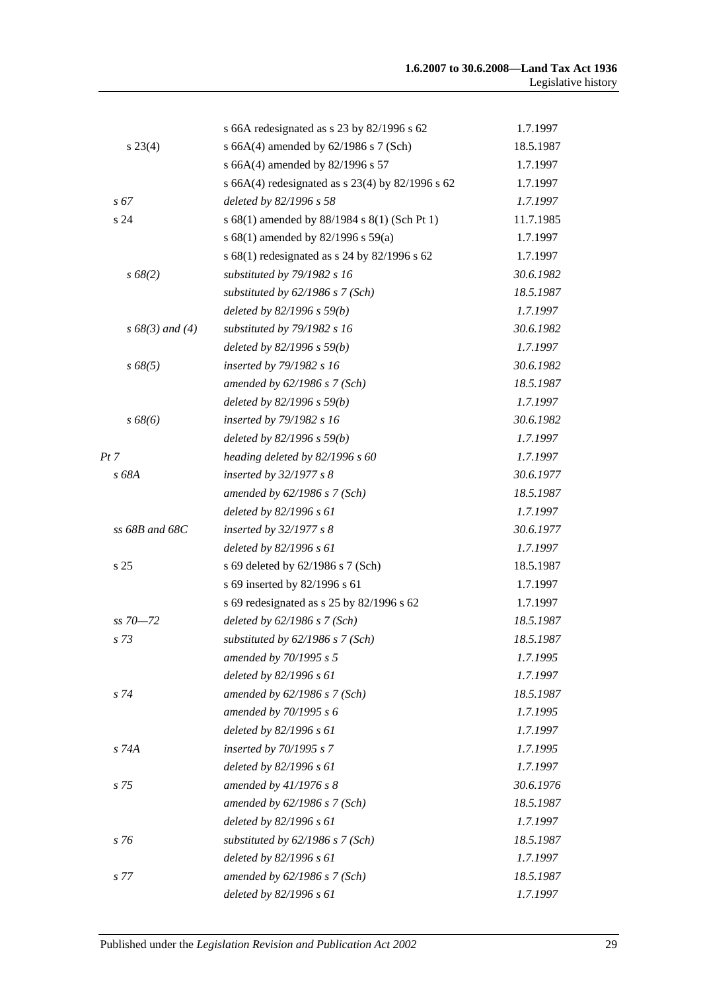|                    | s 66A redesignated as s 23 by 82/1996 s 62         | 1.7.1997  |
|--------------------|----------------------------------------------------|-----------|
| $s\,23(4)$         | s 66A(4) amended by 62/1986 s 7 (Sch)              | 18.5.1987 |
|                    | s 66A(4) amended by 82/1996 s 57                   | 1.7.1997  |
|                    | s 66A(4) redesignated as s $23(4)$ by 82/1996 s 62 | 1.7.1997  |
| $s\,67$            | deleted by 82/1996 s 58                            | 1.7.1997  |
| s 24               | s 68(1) amended by 88/1984 s 8(1) (Sch Pt 1)       | 11.7.1985 |
|                    | s 68(1) amended by 82/1996 s 59(a)                 | 1.7.1997  |
|                    | s 68(1) redesignated as s 24 by 82/1996 s 62       | 1.7.1997  |
| $s\,68(2)$         | substituted by 79/1982 s 16                        | 30.6.1982 |
|                    | substituted by $62/1986$ s $7$ (Sch)               | 18.5.1987 |
|                    | deleted by $82/1996 s 59(b)$                       | 1.7.1997  |
| $s\,68(3)$ and (4) | substituted by 79/1982 s 16                        | 30.6.1982 |
|                    | deleted by $82/1996 s 59(b)$                       | 1.7.1997  |
| $s\,68(5)$         | inserted by 79/1982 s 16                           | 30.6.1982 |
|                    | amended by 62/1986 s 7 (Sch)                       | 18.5.1987 |
|                    | deleted by $82/1996 s 59(b)$                       | 1.7.1997  |
| s 68(6)            | inserted by 79/1982 s 16                           | 30.6.1982 |
|                    | deleted by 82/1996 s 59(b)                         | 1.7.1997  |
| Pt7                | heading deleted by 82/1996 s 60                    | 1.7.1997  |
| s 68A              | inserted by 32/1977 s 8                            | 30.6.1977 |
|                    | amended by $62/1986$ s $7$ (Sch)                   | 18.5.1987 |
|                    | deleted by 82/1996 s 61                            | 1.7.1997  |
| ss 68B and 68C     | inserted by 32/1977 s 8                            | 30.6.1977 |
|                    | deleted by 82/1996 s 61                            | 1.7.1997  |
| s 25               | s 69 deleted by 62/1986 s 7 (Sch)                  | 18.5.1987 |
|                    | s 69 inserted by 82/1996 s 61                      | 1.7.1997  |
|                    | s 69 redesignated as s 25 by 82/1996 s 62          | 1.7.1997  |
| $ss\,70 - 72$      | deleted by $62/1986$ s $7$ (Sch)                   | 18.5.1987 |
| $s\,73$            | substituted by $62/1986$ s $7$ (Sch)               | 18.5.1987 |
|                    | amended by 70/1995 s 5                             | 1.7.1995  |
|                    | deleted by 82/1996 s 61                            | 1.7.1997  |
| s 74               | amended by $62/1986$ s $7$ (Sch)                   | 18.5.1987 |
|                    | amended by 70/1995 s 6                             | 1.7.1995  |
|                    | deleted by 82/1996 s 61                            | 1.7.1997  |
| s 74A              | inserted by $70/1995 s 7$                          | 1.7.1995  |
|                    | deleted by 82/1996 s 61                            | 1.7.1997  |
| s 75               | amended by $41/1976 s 8$                           | 30.6.1976 |
|                    | amended by $62/1986$ s $7$ (Sch)                   | 18.5.1987 |
|                    | deleted by 82/1996 s 61                            | 1.7.1997  |
| s 76               | substituted by $62/1986$ s $7$ (Sch)               | 18.5.1987 |
|                    | deleted by 82/1996 s 61                            | 1.7.1997  |
| s 77               | amended by $62/1986$ s $7$ (Sch)                   | 18.5.1987 |
|                    | deleted by 82/1996 s 61                            | 1.7.1997  |